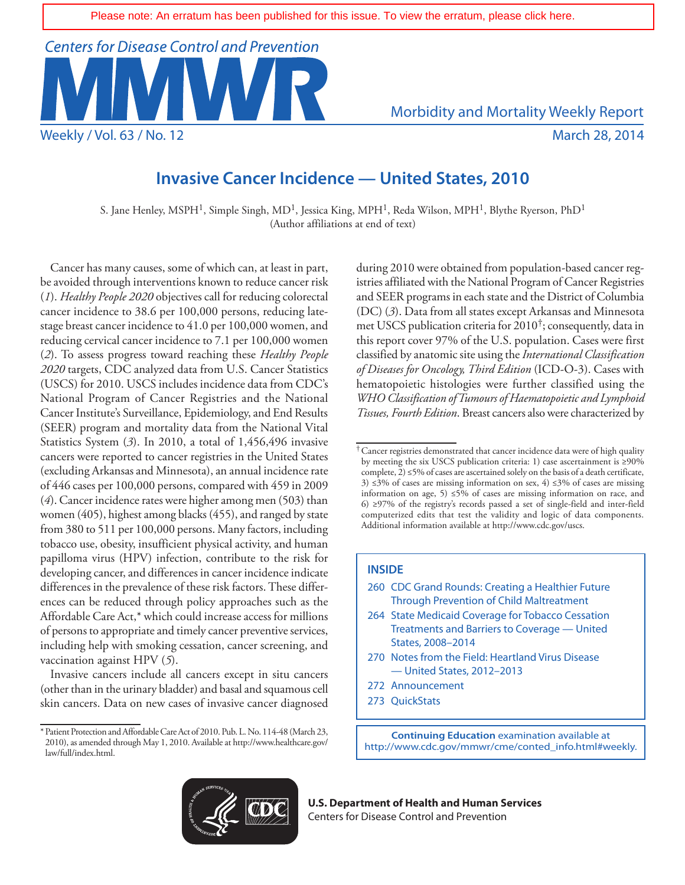

# **Invasive Cancer Incidence — United States, 2010**

S. Jane Henley, MSPH<sup>1</sup>, Simple Singh, MD<sup>1</sup>, Jessica King, MPH<sup>1</sup>, Reda Wilson, MPH<sup>1</sup>, Blythe Ryerson, PhD<sup>1</sup> (Author affiliations at end of text)

Cancer has many causes, some of which can, at least in part, be avoided through interventions known to reduce cancer risk (*1*). *Healthy People 2020* objectives call for reducing colorectal cancer incidence to 38.6 per 100,000 persons, reducing latestage breast cancer incidence to 41.0 per 100,000 women, and reducing cervical cancer incidence to 7.1 per 100,000 women (*2*). To assess progress toward reaching these *Healthy People 2020* targets, CDC analyzed data from U.S. Cancer Statistics (USCS) for 2010. USCS includes incidence data from CDC's National Program of Cancer Registries and the National Cancer Institute's Surveillance, Epidemiology, and End Results (SEER) program and mortality data from the National Vital Statistics System (*3*). In 2010, a total of 1,456,496 invasive cancers were reported to cancer registries in the United States (excluding Arkansas and Minnesota), an annual incidence rate of 446 cases per 100,000 persons, compared with 459 in 2009 (*4*). Cancer incidence rates were higher among men (503) than women (405), highest among blacks (455), and ranged by state from 380 to 511 per 100,000 persons. Many factors, including tobacco use, obesity, insufficient physical activity, and human papilloma virus (HPV) infection, contribute to the risk for developing cancer, and differences in cancer incidence indicate differences in the prevalence of these risk factors. These differences can be reduced through policy approaches such as the Affordable Care Act,\* which could increase access for millions of persons to appropriate and timely cancer preventive services, including help with smoking cessation, cancer screening, and vaccination against HPV (*5*).

Invasive cancers include all cancers except in situ cancers (other than in the urinary bladder) and basal and squamous cell skin cancers. Data on new cases of invasive cancer diagnosed during 2010 were obtained from population-based cancer registries affiliated with the National Program of Cancer Registries and SEER programs in each state and the District of Columbia (DC) (*3*). Data from all states except Arkansas and Minnesota met USCS publication criteria for 2010†; consequently, data in this report cover 97% of the U.S. population. Cases were first classified by anatomic site using the *International Classification of Diseases for Oncology, Third Edition* (ICD-O-3). Cases with hematopoietic histologies were further classified using the *WHO Classification of Tumours of Haematopoietic and Lymphoid Tissues, Fourth Edition*. Breast cancers also were characterized by

#### **INSIDE**

- 264 [State Medicaid Coverage for Tobacco Cessation](#page-11-0)  [Treatments and Barriers to Coverage — United](#page-11-0)  [States, 2008–2014](#page-11-0)
- 270 [Notes from the Field:](#page-17-0) Heartland Virus Disease — United States, 2012–2013
- 272 [Announcement](#page-19-0)
- 273 [QuickStats](#page-20-0)

**Continuing Education** examination available at [http://www.cdc.gov/mmwr/cme/conted\\_info.html#weekly.](http://www.cdc.gov/mmwr/cme/conted_info.html#weekly)



**U.S. Department of Health and Human Services** Centers for Disease Control and Prevention

<sup>\*</sup>Patient Protection and Affordable Care Act of 2010. Pub. L. No. 114-48 (March 23, 2010), as amended through May 1, 2010. Available at [http://www.healthcare.gov/](http://www.healthcare.gov/law/full/index.html) [law/full/index.html.](http://www.healthcare.gov/law/full/index.html)

<sup>†</sup>Cancer registries demonstrated that cancer incidence data were of high quality by meeting the six USCS publication criteria: 1) case ascertainment is ≥90% complete, 2) ≤5% of cases are ascertained solely on the basis of a death certificate, 3) ≤3% of cases are missing information on sex, 4) ≤3% of cases are missing information on age, 5)  $\leq$ 5% of cases are missing information on race, and 6) ≥97% of the registry's records passed a set of single-field and inter-field computerized edits that test the validity and logic of data components. Additional information available at [http://www.cdc.gov/uscs.](http://www.cdc.gov/uscs)

<sup>260</sup> [CDC Grand Rounds: Creating a Healthier Future](#page-7-0)  [Through Prevention of Child Maltreatment](#page-7-0)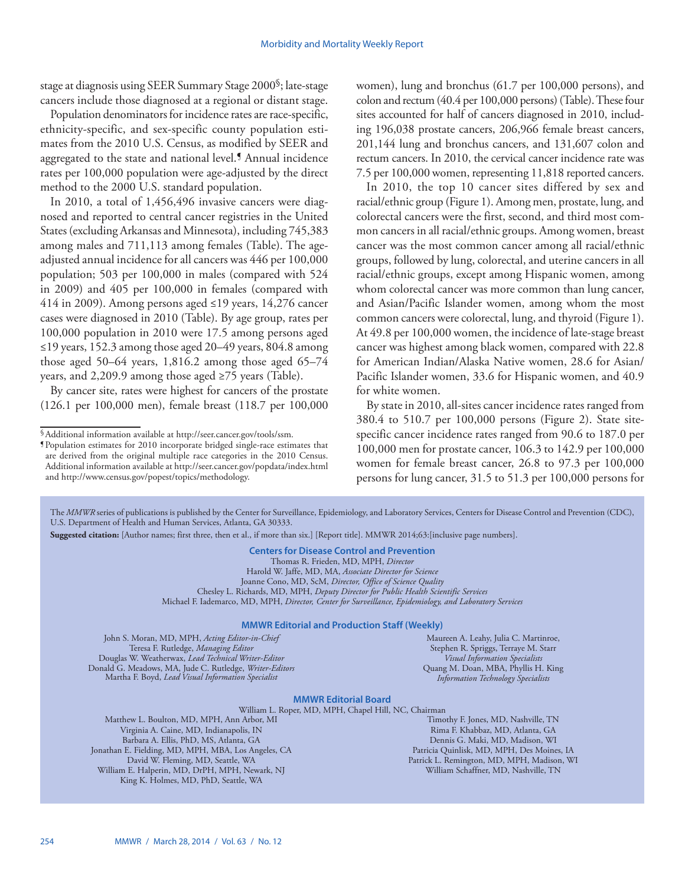stage at diagnosis using SEER Summary Stage 2000§; late-stage cancers include those diagnosed at a regional or distant stage.

Population denominators for incidence rates are race-specific, ethnicity-specific, and sex-specific county population estimates from the 2010 U.S. Census, as modified by SEER and aggregated to the state and national level.¶ Annual incidence rates per 100,000 population were age-adjusted by the direct method to the 2000 U.S. standard population.

In 2010, a total of 1,456,496 invasive cancers were diagnosed and reported to central cancer registries in the United States (excluding Arkansas and Minnesota), including 745,383 among males and 711,113 among females (Table). The ageadjusted annual incidence for all cancers was 446 per 100,000 population; 503 per 100,000 in males (compared with 524 in 2009) and 405 per 100,000 in females (compared with 414 in 2009). Among persons aged ≤19 years, 14,276 cancer cases were diagnosed in 2010 (Table). By age group, rates per 100,000 population in 2010 were 17.5 among persons aged ≤19 years, 152.3 among those aged 20–49 years, 804.8 among those aged 50–64 years,  $1,816.2$  among those aged 65–74 years, and 2,209.9 among those aged ≥75 years (Table).

By cancer site, rates were highest for cancers of the prostate (126.1 per 100,000 men), female breast (118.7 per 100,000 women), lung and bronchus (61.7 per 100,000 persons), and colon and rectum (40.4 per 100,000 persons) (Table). These four sites accounted for half of cancers diagnosed in 2010, including 196,038 prostate cancers, 206,966 female breast cancers, 201,144 lung and bronchus cancers, and 131,607 colon and rectum cancers. In 2010, the cervical cancer incidence rate was 7.5 per 100,000 women, representing 11,818 reported cancers.

In 2010, the top 10 cancer sites differed by sex and racial/ethnic group (Figure 1). Among men, prostate, lung, and colorectal cancers were the first, second, and third most common cancers in all racial/ethnic groups. Among women, breast cancer was the most common cancer among all racial/ethnic groups, followed by lung, colorectal, and uterine cancers in all racial/ethnic groups, except among Hispanic women, among whom colorectal cancer was more common than lung cancer, and Asian/Pacific Islander women, among whom the most common cancers were colorectal, lung, and thyroid (Figure 1). At 49.8 per 100,000 women, the incidence of late-stage breast cancer was highest among black women, compared with 22.8 for American Indian/Alaska Native women, 28.6 for Asian/ Pacific Islander women, 33.6 for Hispanic women, and 40.9 for white women.

By state in 2010, all-sites cancer incidence rates ranged from 380.4 to 510.7 per 100,000 persons (Figure 2). State sitespecific cancer incidence rates ranged from 90.6 to 187.0 per 100,000 men for prostate cancer, 106.3 to 142.9 per 100,000 women for female breast cancer, 26.8 to 97.3 per 100,000 persons for lung cancer, 31.5 to 51.3 per 100,000 persons for

The *MMWR* series of publications is published by the Center for Surveillance, Epidemiology, and Laboratory Services, Centers for Disease Control and Prevention (CDC), U.S. Department of Health and Human Services, Atlanta, GA 30333.

**Suggested citation:** [Author names; first three, then et al., if more than six.] [Report title]. MMWR 2014;63:[inclusive page numbers].

**Centers for Disease Control and Prevention** Thomas R. Frieden, MD, MPH, *Director* Harold W. Jaffe, MD, MA, *Associate Director for Science* Joanne Cono, MD, ScM, *Director, Office of Science Quality*  Chesley L. Richards, MD, MPH, *Deputy Director for Public Health Scientific Services* Michael F. Iademarco, MD, MPH, *Director, Center for Surveillance, Epidemiology, and Laboratory Services*

#### **MMWR Editorial and Production Staff (Weekly)**

John S. Moran, MD, MPH, *Acting Editor-in-Chief* Teresa F. Rutledge, *Managing Editor* Douglas W. Weatherwax, *Lead Technical Writer-Editor* Donald G. Meadows, MA, Jude C. Rutledge, *Writer-Editors* Martha F. Boyd, *Lead Visual Information Specialist*

Maureen A. Leahy, Julia C. Martinroe, Stephen R. Spriggs, Terraye M. Starr *Visual Information Specialists* Quang M. Doan, MBA, Phyllis H. King *Information Technology Specialists*

#### **MMWR Editorial Board**

William L. Roper, MD, MPH, Chapel Hill, NC, Chairman

Matthew L. Boulton, MD, MPH, Ann Arbor, MI Virginia A. Caine, MD, Indianapolis, IN Barbara A. Ellis, PhD, MS, Atlanta, GA Jonathan E. Fielding, MD, MPH, MBA, Los Angeles, CA David W. Fleming, MD, Seattle, WA William E. Halperin, MD, DrPH, MPH, Newark, NJ King K. Holmes, MD, PhD, Seattle, WA

Timothy F. Jones, MD, Nashville, TN Rima F. Khabbaz, MD, Atlanta, GA Dennis G. Maki, MD, Madison, WI Patricia Quinlisk, MD, MPH, Des Moines, IA Patrick L. Remington, MD, MPH, Madison, WI William Schaffner, MD, Nashville, TN

<sup>§</sup>Additional information available at<http://seer.cancer.gov/tools/ssm>. ¶Population estimates for 2010 incorporate bridged single-race estimates that

are derived from the original multiple race categories in the 2010 Census. Additional information available at<http://seer.cancer.gov/popdata/index.html> and <http://www.census.gov/popest/topics/methodology>.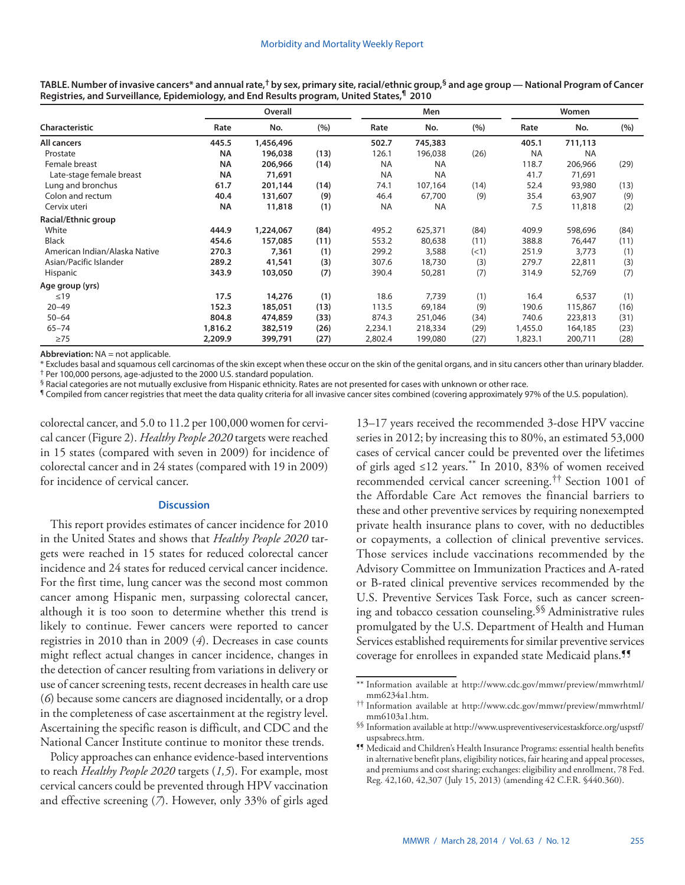|                               |           | Overall   |      |           | Men       |      |           | Women     |      |  |  |
|-------------------------------|-----------|-----------|------|-----------|-----------|------|-----------|-----------|------|--|--|
| Characteristic                | Rate      | No.       | (%)  | Rate      | No.       | (%)  | Rate      | No.       | (%)  |  |  |
| All cancers                   | 445.5     | 1,456,496 |      | 502.7     | 745,383   |      | 405.1     | 711,113   |      |  |  |
| Prostate                      | <b>NA</b> | 196,038   | (13) | 126.1     | 196,038   | (26) | <b>NA</b> | <b>NA</b> |      |  |  |
| Female breast                 | <b>NA</b> | 206,966   | (14) | <b>NA</b> | <b>NA</b> |      | 118.7     | 206,966   | (29) |  |  |
| Late-stage female breast      | <b>NA</b> | 71,691    |      | <b>NA</b> | <b>NA</b> |      | 41.7      | 71,691    |      |  |  |
| Lung and bronchus             | 61.7      | 201,144   | (14) | 74.1      | 107,164   | (14) | 52.4      | 93,980    | (13) |  |  |
| Colon and rectum              | 40.4      | 131,607   | (9)  | 46.4      | 67,700    | (9)  | 35.4      | 63,907    | (9)  |  |  |
| Cervix uteri                  | <b>NA</b> | 11,818    | (1)  | <b>NA</b> | <b>NA</b> |      | 7.5       | 11,818    | (2)  |  |  |
| Racial/Ethnic group           |           |           |      |           |           |      |           |           |      |  |  |
| White                         | 444.9     | 1,224,067 | (84) | 495.2     | 625,371   | (84) | 409.9     | 598,696   | (84) |  |  |
| <b>Black</b>                  | 454.6     | 157,085   | (11) | 553.2     | 80,638    | (11) | 388.8     | 76,447    | (11) |  |  |
| American Indian/Alaska Native | 270.3     | 7,361     | (1)  | 299.2     | 3,588     | (<1) | 251.9     | 3,773     | (1)  |  |  |
| Asian/Pacific Islander        | 289.2     | 41,541    | (3)  | 307.6     | 18,730    | (3)  | 279.7     | 22,811    | (3)  |  |  |
| Hispanic                      | 343.9     | 103,050   | (7)  | 390.4     | 50,281    | (7)  | 314.9     | 52,769    | (7)  |  |  |
| Age group (yrs)               |           |           |      |           |           |      |           |           |      |  |  |
| $\leq 19$                     | 17.5      | 14,276    | (1)  | 18.6      | 7,739     | (1)  | 16.4      | 6,537     | (1)  |  |  |
| $20 - 49$                     | 152.3     | 185,051   | (13) | 113.5     | 69,184    | (9)  | 190.6     | 115,867   | (16) |  |  |
| $50 - 64$                     | 804.8     | 474,859   | (33) | 874.3     | 251,046   | (34) | 740.6     | 223,813   | (31) |  |  |
| $65 - 74$                     | 1,816.2   | 382,519   | (26) | 2,234.1   | 218,334   | (29) | 1,455.0   | 164,185   | (23) |  |  |
| $\geq$ 75                     | 2,209.9   | 399,791   | (27) | 2,802.4   | 199,080   | (27) | 1,823.1   | 200,711   | (28) |  |  |

**TABLE. Number of invasive cancers\* and annual rate,† by sex, primary site, racial/ethnic group,§ and age group — National Program of Cancer Registries, and Surveillance, Epidemiology, and End Results program, United States,¶ 2010**

**Abbreviation:** NA = not applicable.

\* Excludes basal and squamous cell carcinomas of the skin except when these occur on the skin of the genital organs, and in situ cancers other than urinary bladder. † Per 100,000 persons, age-adjusted to the 2000 U.S. standard population.

 $§$  Racial categories are not mutually exclusive from Hispanic ethnicity. Rates are not presented for cases with unknown or other race.

¶ Compiled from cancer registries that meet the data quality criteria for all invasive cancer sites combined (covering approximately 97% of the U.S. population).

colorectal cancer, and 5.0 to 11.2 per 100,000 women for cervical cancer (Figure 2). *Healthy People 2020* targets were reached in 15 states (compared with seven in 2009) for incidence of colorectal cancer and in 24 states (compared with 19 in 2009) for incidence of cervical cancer.

#### **Discussion**

This report provides estimates of cancer incidence for 2010 in the United States and shows that *Healthy People 2020* targets were reached in 15 states for reduced colorectal cancer incidence and 24 states for reduced cervical cancer incidence. For the first time, lung cancer was the second most common cancer among Hispanic men, surpassing colorectal cancer, although it is too soon to determine whether this trend is likely to continue. Fewer cancers were reported to cancer registries in 2010 than in 2009 (*4*). Decreases in case counts might reflect actual changes in cancer incidence, changes in the detection of cancer resulting from variations in delivery or use of cancer screening tests, recent decreases in health care use (*6*) because some cancers are diagnosed incidentally, or a drop in the completeness of case ascertainment at the registry level. Ascertaining the specific reason is difficult, and CDC and the National Cancer Institute continue to monitor these trends.

Policy approaches can enhance evidence-based interventions to reach *Healthy People 2020* targets (*1,5*). For example, most cervical cancers could be prevented through HPV vaccination and effective screening (*7*). However, only 33% of girls aged 13–17 years received the recommended 3-dose HPV vaccine series in 2012; by increasing this to 80%, an estimated 53,000 cases of cervical cancer could be prevented over the lifetimes of girls aged ≤12 years.\*\* In 2010, 83% of women received recommended cervical cancer screening.†† Section 1001 of the Affordable Care Act removes the financial barriers to these and other preventive services by requiring nonexempted private health insurance plans to cover, with no deductibles or copayments, a collection of clinical preventive services. Those services include vaccinations recommended by the Advisory Committee on Immunization Practices and A-rated or B-rated clinical preventive services recommended by the U.S. Preventive Services Task Force, such as cancer screening and tobacco cessation counseling.§§ Administrative rules promulgated by the U.S. Department of Health and Human Services established requirements for similar preventive services coverage for enrollees in expanded state Medicaid plans.<sup>15</sup>

<sup>\*\*</sup> Information available at [http://www.cdc.gov/mmwr/preview/mmwrhtml/](http://www.cdc.gov/mmwr/preview/mmwrhtml/mm6234a1.htm)

[mm6234a1.htm](http://www.cdc.gov/mmwr/preview/mmwrhtml/mm6234a1.htm). †† Information available at [http://www.cdc.gov/mmwr/preview/mmwrhtml/](http://www.cdc.gov/mmwr/preview/mmwrhtml/mm6103a1.htm)

 $$$  Information available at [http://www.uspreventiveservicestaskforce.org/uspstf/](http://www.uspreventiveservicestaskforce.org/uspstf/uspsabrecs.htm) uspsabrecs.htm.

<sup>&</sup>lt;sup>99</sup> Medicaid and Children's Health Insurance Programs: essential health benefits in alternative benefit plans, eligibility notices, fair hearing and appeal processes, and premiums and cost sharing; exchanges: eligibility and enrollment, 78 Fed. Reg. 42,160, 42,307 (July 15, 2013) (amending 42 C.F.R. §440.360).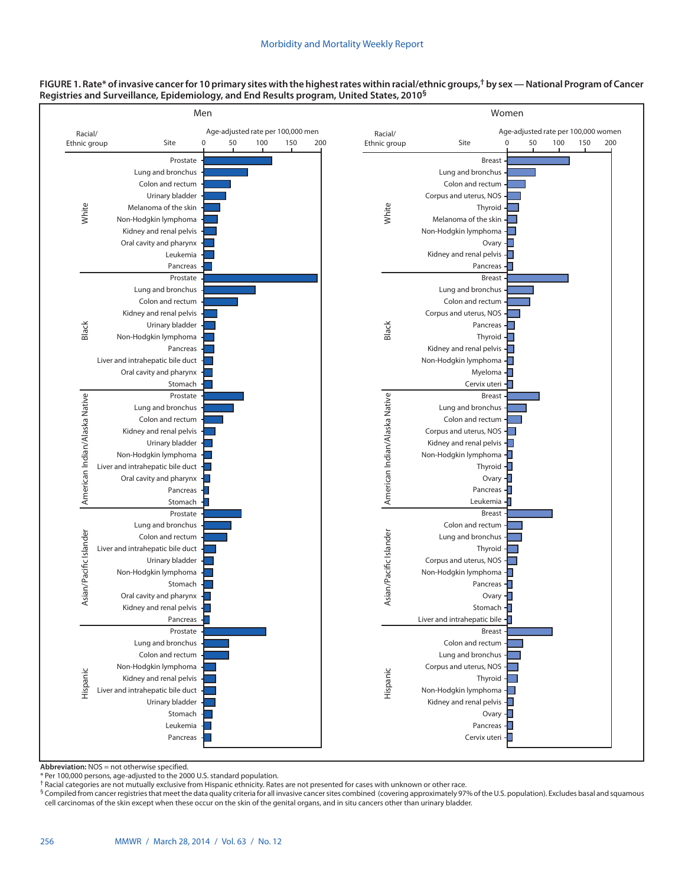

#### **FIGURE 1. Rate\* of invasive cancer for 10 primary sites with the highest rates within racial/ethnic groups,† by sex — National Program of Cancer Registries and Surveillance, Epidemiology, and End Results program, United States, 2010§**

**Abbreviation:** NOS = not otherwise specified.

\* Per 100,000 persons, age-adjusted to the 2000 U.S. standard population.

† Racial categories are not mutually exclusive from Hispanic ethnicity. Rates are not presented for cases with unknown or other race.

§ Compiled from cancer registries that meet the data quality criteria for all invasive cancer sites combined (covering approximately 97% of the U.S. population). Excludes basal and squamous cell carcinomas of the skin except when these occur on the skin of the genital organs, and in situ cancers other than urinary bladder.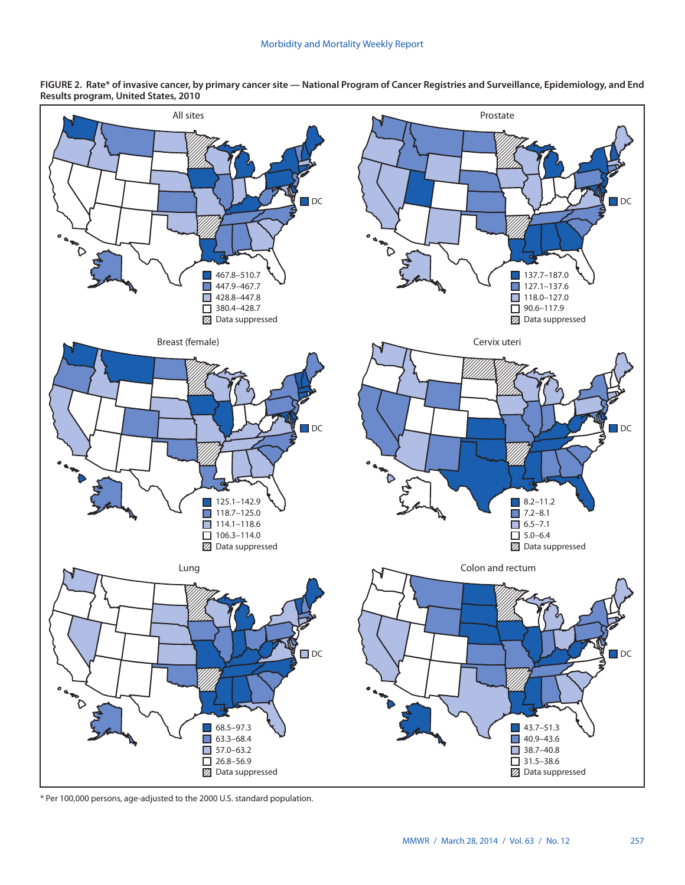

**FIGURE 2. Rate\* of invasive cancer, by primary cancer site — National Program of Cancer Registries and Surveillance, Epidemiology, and End Results program, United States, 2010**

\* Per 100,000 persons, age-adjusted to the 2000 U.S. standard population.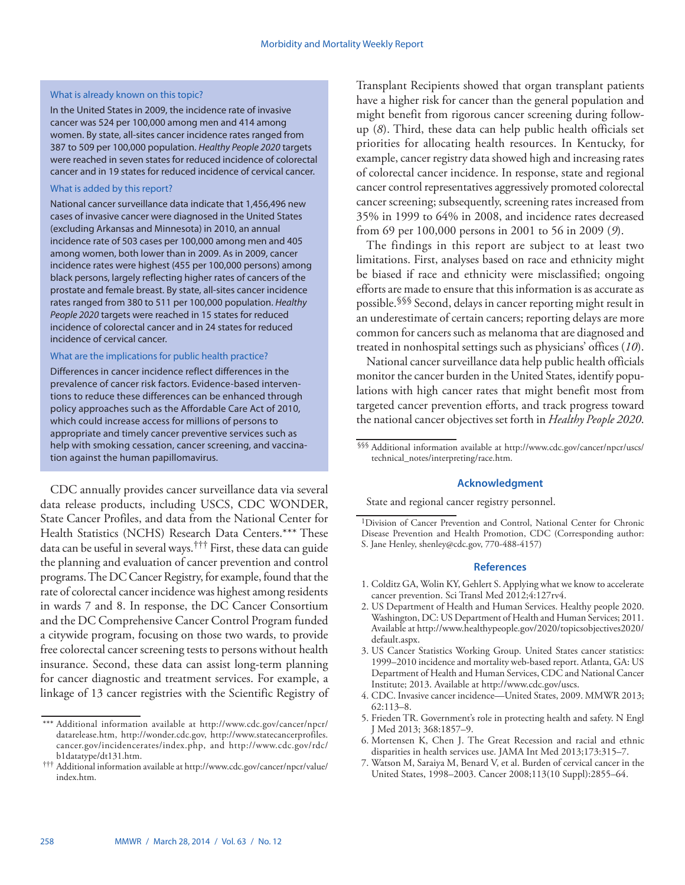#### What is already known on this topic?

In the United States in 2009, the incidence rate of invasive cancer was 524 per 100,000 among men and 414 among women. By state, all-sites cancer incidence rates ranged from 387 to 509 per 100,000 population. *Healthy People 2020* targets were reached in seven states for reduced incidence of colorectal cancer and in 19 states for reduced incidence of cervical cancer.

#### What is added by this report?

National cancer surveillance data indicate that 1,456,496 new cases of invasive cancer were diagnosed in the United States (excluding Arkansas and Minnesota) in 2010, an annual incidence rate of 503 cases per 100,000 among men and 405 among women, both lower than in 2009. As in 2009, cancer incidence rates were highest (455 per 100,000 persons) among black persons, largely reflecting higher rates of cancers of the prostate and female breast. By state, all-sites cancer incidence rates ranged from 380 to 511 per 100,000 population. *Healthy People 2020* targets were reached in 15 states for reduced incidence of colorectal cancer and in 24 states for reduced incidence of cervical cancer.

#### What are the implications for public health practice?

Differences in cancer incidence reflect differences in the prevalence of cancer risk factors. Evidence-based interventions to reduce these differences can be enhanced through policy approaches such as the Affordable Care Act of 2010, which could increase access for millions of persons to appropriate and timely cancer preventive services such as help with smoking cessation, cancer screening, and vaccination against the human papillomavirus.

CDC annually provides cancer surveillance data via several data release products, including USCS, CDC WONDER, State Cancer Profiles, and data from the National Center for Health Statistics (NCHS) Research Data Centers.\*\*\* These data can be useful in several ways.††† First, these data can guide the planning and evaluation of cancer prevention and control programs. The DC Cancer Registry, for example, found that the rate of colorectal cancer incidence was highest among residents in wards 7 and 8. In response, the DC Cancer Consortium and the DC Comprehensive Cancer Control Program funded a citywide program, focusing on those two wards, to provide free colorectal cancer screening tests to persons without health insurance. Second, these data can assist long-term planning for cancer diagnostic and treatment services. For example, a linkage of 13 cancer registries with the Scientific Registry of Transplant Recipients showed that organ transplant patients have a higher risk for cancer than the general population and might benefit from rigorous cancer screening during followup (*8*). Third, these data can help public health officials set priorities for allocating health resources. In Kentucky, for example, cancer registry data showed high and increasing rates of colorectal cancer incidence. In response, state and regional cancer control representatives aggressively promoted colorectal cancer screening; subsequently, screening rates increased from 35% in 1999 to 64% in 2008, and incidence rates decreased from 69 per 100,000 persons in 2001 to 56 in 2009 (*9*).

The findings in this report are subject to at least two limitations. First, analyses based on race and ethnicity might be biased if race and ethnicity were misclassified; ongoing efforts are made to ensure that this information is as accurate as possible.§§§ Second, delays in cancer reporting might result in an underestimate of certain cancers; reporting delays are more common for cancers such as melanoma that are diagnosed and treated in nonhospital settings such as physicians' offices (*10*).

National cancer surveillance data help public health officials monitor the cancer burden in the United States, identify populations with high cancer rates that might benefit most from targeted cancer prevention efforts, and track progress toward the national cancer objectives set forth in *Healthy People 2020*.

§§§ Additional information available at [http://www.cdc.gov/cancer/npcr/uscs/](http://www.cdc.gov/cancer/npcr/uscs/technical_notes/interpreting/race.htm) [technical\\_notes/interpreting/race.htm](http://www.cdc.gov/cancer/npcr/uscs/technical_notes/interpreting/race.htm).

#### **Acknowledgment**

State and regional cancer registry personnel.

- 1. Colditz GA, Wolin KY, Gehlert S. Applying what we know to accelerate cancer prevention. Sci Transl Med 2012;4:127rv4.
- 2. US Department of Health and Human Services. Healthy people 2020. Washington, DC: US Department of Health and Human Services; 2011. Available at [http://www.healthypeople.gov/2020/topicsobjectives2020/](http://www.healthypeople.gov/2020/topicsobjectives2020/default.aspx) [default.aspx](http://www.healthypeople.gov/2020/topicsobjectives2020/default.aspx).
- 3. US Cancer Statistics Working Group. United States cancer statistics: 1999–2010 incidence and mortality web-based report. Atlanta, GA: US Department of Health and Human Services, CDC and National Cancer Institute; 2013. Available at [http://www.cdc.gov/uscs.](http://www.cdc.gov/uscs)
- 4. CDC. Invasive cancer incidence—United States, 2009. MMWR 2013; 62:113–8.
- 5. Frieden TR. Government's role in protecting health and safety. N Engl J Med 2013; 368:1857–9.
- 6. Mortensen K, Chen J. The Great Recession and racial and ethnic disparities in health services use. JAMA Int Med 2013;173:315–7.
- 7. Watson M, Saraiya M, Benard V, et al. Burden of cervical cancer in the United States, 1998–2003. Cancer 2008;113(10 Suppl):2855–64.

<sup>\*\*\*</sup> Additional information available at [http://www.cdc.gov/cancer/npcr/](http://www.cdc.gov/cancer/npcr/datarelease.htm) [datarelease.htm,](http://www.cdc.gov/cancer/npcr/datarelease.htm) [http://wonder.cdc.gov,](http://wonder.cdc.gov) [http://www.statecancerprofiles.](http://www.statecancerprofiles.cancer.gov/incidencerates/index.php) [cancer.gov/incidencerates/index.php,](http://www.statecancerprofiles.cancer.gov/incidencerates/index.php) and [http://www.cdc.gov/rdc/](http://www.cdc.gov/rdc/b1datatype/dt131.htm)

[b1datatype/dt131.htm.](http://www.cdc.gov/rdc/b1datatype/dt131.htm) ††† Additional information available at [http://www.cdc.gov/cancer/npcr/value/](http://www.cdc.gov/cancer/npcr/value/index.htm) [index.htm](http://www.cdc.gov/cancer/npcr/value/index.htm).

<sup>1</sup>Division of Cancer Prevention and Control, National Center for Chronic Disease Prevention and Health Promotion, CDC (Corresponding author: S. Jane Henley, [shenley@cdc.gov,](mailto:shenley@cdc.gov) 770-488-4157)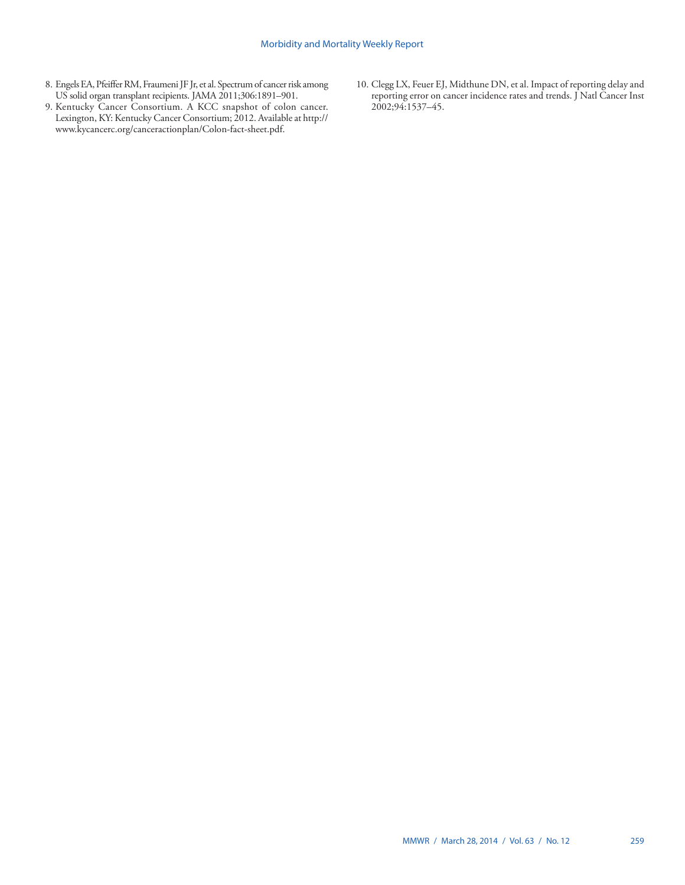- 8. Engels EA, Pfeiffer RM, Fraumeni JF Jr, et al. Spectrum of cancer risk among US solid organ transplant recipients. JAMA 2011;306:1891–901.
- 9. Kentucky Cancer Consortium. A KCC snapshot of colon cancer. Lexington, KY: Kentucky Cancer Consortium; 2012. Available at [http://](http://www.kycancerc.org/canceractionplan/Colon-fact-sheet.pdf) [www.kycancerc.org/canceractionplan/Colon-fact-sheet.pdf.](http://www.kycancerc.org/canceractionplan/Colon-fact-sheet.pdf)
- 10. Clegg LX, Feuer EJ, Midthune DN, et al. Impact of reporting delay and reporting error on cancer incidence rates and trends. J Natl Cancer Inst 2002;94:1537–45.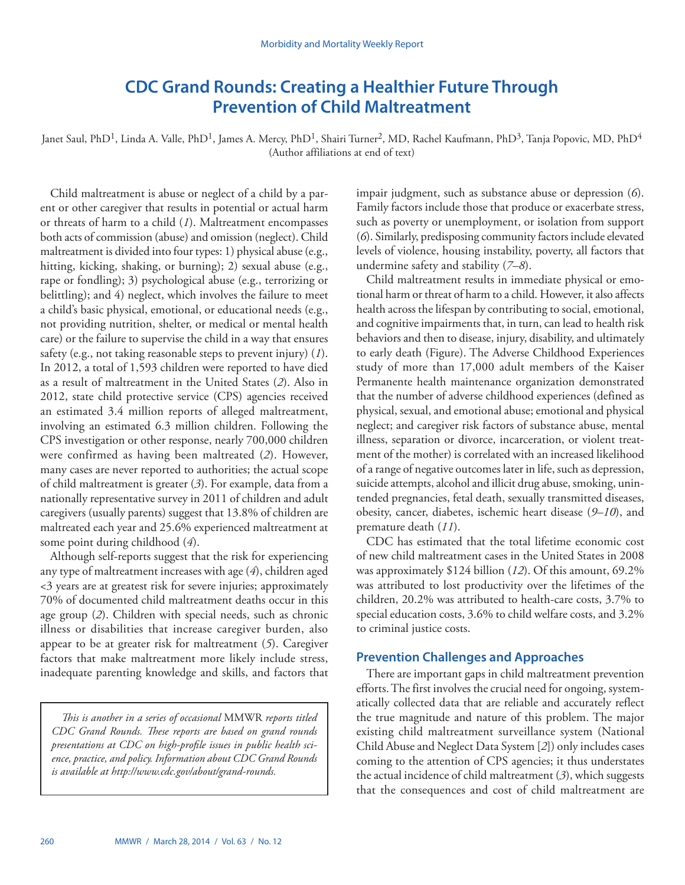# **CDC Grand Rounds: Creating a Healthier Future Through Prevention of Child Maltreatment**

<span id="page-7-0"></span>Janet Saul, PhD<sup>1</sup>, Linda A. Valle, PhD<sup>1</sup>, James A. Mercy, PhD<sup>1</sup>, Shairi Turner<sup>2</sup>, MD, Rachel Kaufmann, PhD<sup>3</sup>, Tanja Popovic, MD, PhD<sup>4</sup> (Author affiliations at end of text)

Child maltreatment is abuse or neglect of a child by a parent or other caregiver that results in potential or actual harm or threats of harm to a child (*1*). Maltreatment encompasses both acts of commission (abuse) and omission (neglect). Child maltreatment is divided into four types: 1) physical abuse (e.g., hitting, kicking, shaking, or burning); 2) sexual abuse (e.g., rape or fondling); 3) psychological abuse (e.g., terrorizing or belittling); and 4) neglect, which involves the failure to meet a child's basic physical, emotional, or educational needs (e.g., not providing nutrition, shelter, or medical or mental health care) or the failure to supervise the child in a way that ensures safety (e.g., not taking reasonable steps to prevent injury) (*1*). In 2012, a total of 1,593 children were reported to have died as a result of maltreatment in the United States (*2*). Also in 2012, state child protective service (CPS) agencies received an estimated 3.4 million reports of alleged maltreatment, involving an estimated 6.3 million children. Following the CPS investigation or other response, nearly 700,000 children were confirmed as having been maltreated (*2*). However, many cases are never reported to authorities; the actual scope of child maltreatment is greater (*3*). For example, data from a nationally representative survey in 2011 of children and adult caregivers (usually parents) suggest that 13.8% of children are maltreated each year and 25.6% experienced maltreatment at some point during childhood (*4*).

Although self-reports suggest that the risk for experiencing any type of maltreatment increases with age (*4*), children aged <3 years are at greatest risk for severe injuries; approximately 70% of documented child maltreatment deaths occur in this age group (*2*). Children with special needs, such as chronic illness or disabilities that increase caregiver burden, also appear to be at greater risk for maltreatment (*5*). Caregiver factors that make maltreatment more likely include stress, inadequate parenting knowledge and skills, and factors that

*This is another in a series of occasional* MMWR *reports titled CDC Grand Rounds. These reports are based on grand rounds presentations at CDC on high-profile issues in public health science, practice, and policy. Information about CDC Grand Rounds is available at [http://www.cdc.gov/about/grand-rounds.](http://www.cdc.gov/about/grand-rounds)* 

impair judgment, such as substance abuse or depression (*6*). Family factors include those that produce or exacerbate stress, such as poverty or unemployment, or isolation from support (*6*). Similarly, predisposing community factors include elevated levels of violence, housing instability, poverty, all factors that undermine safety and stability (*7–8*).

Child maltreatment results in immediate physical or emotional harm or threat of harm to a child. However, it also affects health across the lifespan by contributing to social, emotional, and cognitive impairments that, in turn, can lead to health risk behaviors and then to disease, injury, disability, and ultimately to early death (Figure). The Adverse Childhood Experiences study of more than 17,000 adult members of the Kaiser Permanente health maintenance organization demonstrated that the number of adverse childhood experiences (defined as physical, sexual, and emotional abuse; emotional and physical neglect; and caregiver risk factors of substance abuse, mental illness, separation or divorce, incarceration, or violent treatment of the mother) is correlated with an increased likelihood of a range of negative outcomes later in life, such as depression, suicide attempts, alcohol and illicit drug abuse, smoking, unintended pregnancies, fetal death, sexually transmitted diseases, obesity, cancer, diabetes, ischemic heart disease (*9–10*), and premature death (*11*).

CDC has estimated that the total lifetime economic cost of new child maltreatment cases in the United States in 2008 was approximately \$124 billion (*12*). Of this amount, 69.2% was attributed to lost productivity over the lifetimes of the children, 20.2% was attributed to health-care costs, 3.7% to special education costs, 3.6% to child welfare costs, and 3.2% to criminal justice costs.

### **Prevention Challenges and Approaches**

There are important gaps in child maltreatment prevention efforts. The first involves the crucial need for ongoing, systematically collected data that are reliable and accurately reflect the true magnitude and nature of this problem. The major existing child maltreatment surveillance system (National Child Abuse and Neglect Data System [*2*]) only includes cases coming to the attention of CPS agencies; it thus understates the actual incidence of child maltreatment (*3*), which suggests that the consequences and cost of child maltreatment are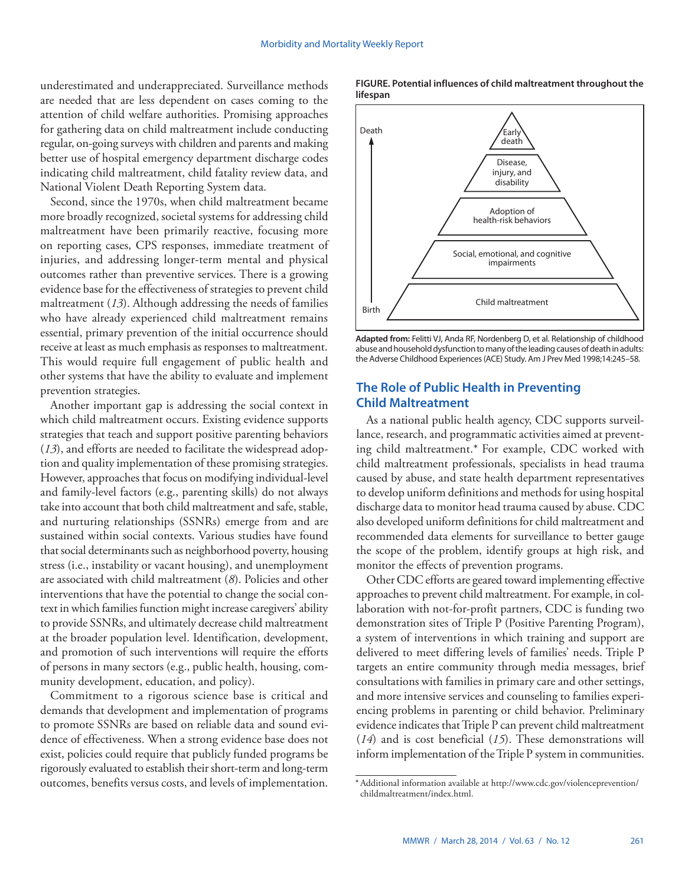underestimated and underappreciated. Surveillance methods are needed that are less dependent on cases coming to the attention of child welfare authorities. Promising approaches for gathering data on child maltreatment include conducting regular, on-going surveys with children and parents and making better use of hospital emergency department discharge codes indicating child maltreatment, child fatality review data, and National Violent Death Reporting System data.

Second, since the 1970s, when child maltreatment became more broadly recognized, societal systems for addressing child maltreatment have been primarily reactive, focusing more on reporting cases, CPS responses, immediate treatment of injuries, and addressing longer-term mental and physical outcomes rather than preventive services. There is a growing evidence base for the effectiveness of strategies to prevent child maltreatment (*13*). Although addressing the needs of families who have already experienced child maltreatment remains essential, primary prevention of the initial occurrence should receive at least as much emphasis as responses to maltreatment. This would require full engagement of public health and other systems that have the ability to evaluate and implement prevention strategies.

Another important gap is addressing the social context in which child maltreatment occurs. Existing evidence supports strategies that teach and support positive parenting behaviors (*13*), and efforts are needed to facilitate the widespread adoption and quality implementation of these promising strategies. However, approaches that focus on modifying individual-level and family-level factors (e.g., parenting skills) do not always take into account that both child maltreatment and safe, stable, and nurturing relationships (SSNRs) emerge from and are sustained within social contexts. Various studies have found that social determinants such as neighborhood poverty, housing stress (i.e., instability or vacant housing), and unemployment are associated with child maltreatment (*8*). Policies and other interventions that have the potential to change the social context in which families function might increase caregivers' ability to provide SSNRs, and ultimately decrease child maltreatment at the broader population level. Identification, development, and promotion of such interventions will require the efforts of persons in many sectors (e.g., public health, housing, community development, education, and policy).

Commitment to a rigorous science base is critical and demands that development and implementation of programs to promote SSNRs are based on reliable data and sound evidence of effectiveness. When a strong evidence base does not exist, policies could require that publicly funded programs be rigorously evaluated to establish their short-term and long-term outcomes, benefits versus costs, and levels of implementation.

#### **FIGURE. Potential influences of child maltreatment throughout the lifespan**



**Adapted from:** Felitti VJ, Anda RF, Nordenberg D, et al. Relationship of childhood abuse and household dysfunction to many of the leading causes of death in adults: the Adverse Childhood Experiences (ACE) Study. Am J Prev Med 1998;14:245–58.

## **The Role of Public Health in Preventing Child Maltreatment**

As a national public health agency, CDC supports surveillance, research, and programmatic activities aimed at preventing child maltreatment.\* For example, CDC worked with child maltreatment professionals, specialists in head trauma caused by abuse, and state health department representatives to develop uniform definitions and methods for using hospital discharge data to monitor head trauma caused by abuse. CDC also developed uniform definitions for child maltreatment and recommended data elements for surveillance to better gauge the scope of the problem, identify groups at high risk, and monitor the effects of prevention programs.

Other CDC efforts are geared toward implementing effective approaches to prevent child maltreatment. For example, in collaboration with not-for-profit partners, CDC is funding two demonstration sites of Triple P (Positive Parenting Program), a system of interventions in which training and support are delivered to meet differing levels of families' needs. Triple P targets an entire community through media messages, brief consultations with families in primary care and other settings, and more intensive services and counseling to families experiencing problems in parenting or child behavior. Preliminary evidence indicates that Triple P can prevent child maltreatment (*14*) and is cost beneficial (*15*). These demonstrations will inform implementation of the Triple P system in communities.

<sup>\*</sup>Additional information available at [http://www.cdc.gov/violenceprevention/](http://www.cdc.gov/violenceprevention/childmaltreatment/index.html) [childmaltreatment/index.html](http://www.cdc.gov/violenceprevention/childmaltreatment/index.html).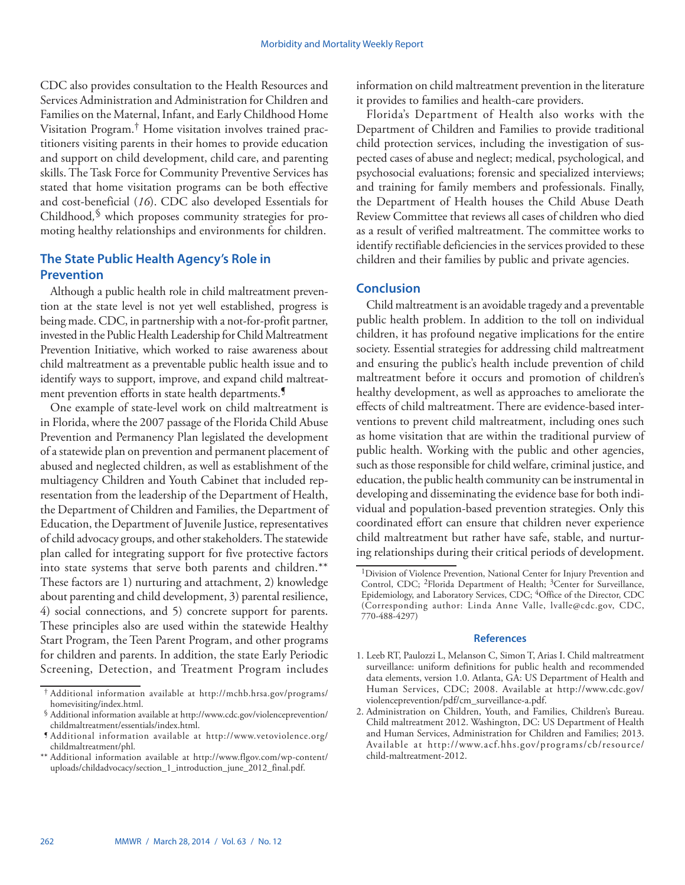CDC also provides consultation to the Health Resources and Services Administration and Administration for Children and Families on the Maternal, Infant, and Early Childhood Home Visitation Program.† Home visitation involves trained practitioners visiting parents in their homes to provide education and support on child development, child care, and parenting skills. The Task Force for Community Preventive Services has stated that home visitation programs can be both effective and cost-beneficial (*16*). CDC also developed Essentials for Childhood*,* § which proposes community strategies for promoting healthy relationships and environments for children.

## **The State Public Health Agency's Role in Prevention**

Although a public health role in child maltreatment prevention at the state level is not yet well established, progress is being made. CDC, in partnership with a not-for-profit partner, invested in the Public Health Leadership for Child Maltreatment Prevention Initiative, which worked to raise awareness about child maltreatment as a preventable public health issue and to identify ways to support, improve, and expand child maltreatment prevention efforts in state health departments.<sup>9</sup>

One example of state-level work on child maltreatment is in Florida, where the 2007 passage of the Florida Child Abuse Prevention and Permanency Plan legislated the development of a statewide plan on prevention and permanent placement of abused and neglected children, as well as establishment of the multiagency Children and Youth Cabinet that included representation from the leadership of the Department of Health, the Department of Children and Families, the Department of Education, the Department of Juvenile Justice, representatives of child advocacy groups, and other stakeholders. The statewide plan called for integrating support for five protective factors into state systems that serve both parents and children.\*\* These factors are 1) nurturing and attachment, 2) knowledge about parenting and child development, 3) parental resilience, 4) social connections, and 5) concrete support for parents. These principles also are used within the statewide Healthy Start Program, the Teen Parent Program, and other programs for children and parents. In addition, the state Early Periodic Screening, Detection, and Treatment Program includes

information on child maltreatment prevention in the literature it provides to families and health-care providers.

Florida's Department of Health also works with the Department of Children and Families to provide traditional child protection services, including the investigation of suspected cases of abuse and neglect; medical, psychological, and psychosocial evaluations; forensic and specialized interviews; and training for family members and professionals. Finally, the Department of Health houses the Child Abuse Death Review Committee that reviews all cases of children who died as a result of verified maltreatment. The committee works to identify rectifiable deficiencies in the services provided to these children and their families by public and private agencies.

### **Conclusion**

Child maltreatment is an avoidable tragedy and a preventable public health problem. In addition to the toll on individual children, it has profound negative implications for the entire society. Essential strategies for addressing child maltreatment and ensuring the public's health include prevention of child maltreatment before it occurs and promotion of children's healthy development, as well as approaches to ameliorate the effects of child maltreatment. There are evidence-based interventions to prevent child maltreatment, including ones such as home visitation that are within the traditional purview of public health. Working with the public and other agencies, such as those responsible for child welfare, criminal justice, and education, the public health community can be instrumental in developing and disseminating the evidence base for both individual and population-based prevention strategies. Only this coordinated effort can ensure that children never experience child maltreatment but rather have safe, stable, and nurturing relationships during their critical periods of development.

<sup>†</sup> Additional information available at [http://mchb.hrsa.gov/programs/](http://mchb.hrsa.gov/programs/homevisiting/index.html)

[homevisiting/index.html](http://mchb.hrsa.gov/programs/homevisiting/index.html). § Additional information available at [http://www.cdc.gov/violenceprevention/](http://www.cdc.gov/violenceprevention/childmaltreatment/essentials/index.html)

<sup>&</sup>lt;sup>1</sup> Additional information available at [http://www.vetoviolence.org/](http://www.vetoviolence.org/childmaltreatment/phl) [childmaltreatment/phl](http://www.vetoviolence.org/childmaltreatment/phl).

<sup>\*\*</sup> Additional information available at [http://www.flgov.com/wp-content/](http://www.flgov.com/wp-content/uploads/childadvocacy/section_1_introduction_june_2012_final.pdf) [uploads/childadvocacy/section\\_1\\_introduction\\_june\\_2012\\_final.pdf.](http://www.flgov.com/wp-content/uploads/childadvocacy/section_1_introduction_june_2012_final.pdf)

<sup>&</sup>lt;sup>1</sup>Division of Violence Prevention, National Center for Injury Prevention and Control, CDC; <sup>2</sup>Florida Department of Health; <sup>3</sup>Center for Surveillance, Epidemiology, and Laboratory Services, CDC; 4Office of the Director, CDC (Corresponding author: Linda Anne Valle, [lvalle@cdc.gov](mailto:lvalle@cdc.gov), CDC, 770-488-4297)

<sup>1.</sup> Leeb RT, Paulozzi L, Melanson C, Simon T, Arias I. Child maltreatment surveillance: uniform definitions for public health and recommended data elements, version 1.0. Atlanta, GA: US Department of Health and Human Services, CDC; 2008. Available at [http://www.cdc.gov/](http://www.cdc.gov/violenceprevention/pdf/cm_surveillance-a.pdf) [violenceprevention/pdf/cm\\_surveillance-a.pdf.](http://www.cdc.gov/violenceprevention/pdf/cm_surveillance-a.pdf)

<sup>2.</sup> Administration on Children, Youth, and Families, Children's Bureau. Child maltreatment 2012. Washington, DC: US Department of Health and Human Services, Administration for Children and Families; 2013. Available at [http://www.acf.hhs.gov/programs/cb/resource/](http://www.acf.hhs.gov/programs/cb/resource/child-maltreatment-2012) [child-maltreatment-2012](http://www.acf.hhs.gov/programs/cb/resource/child-maltreatment-2012).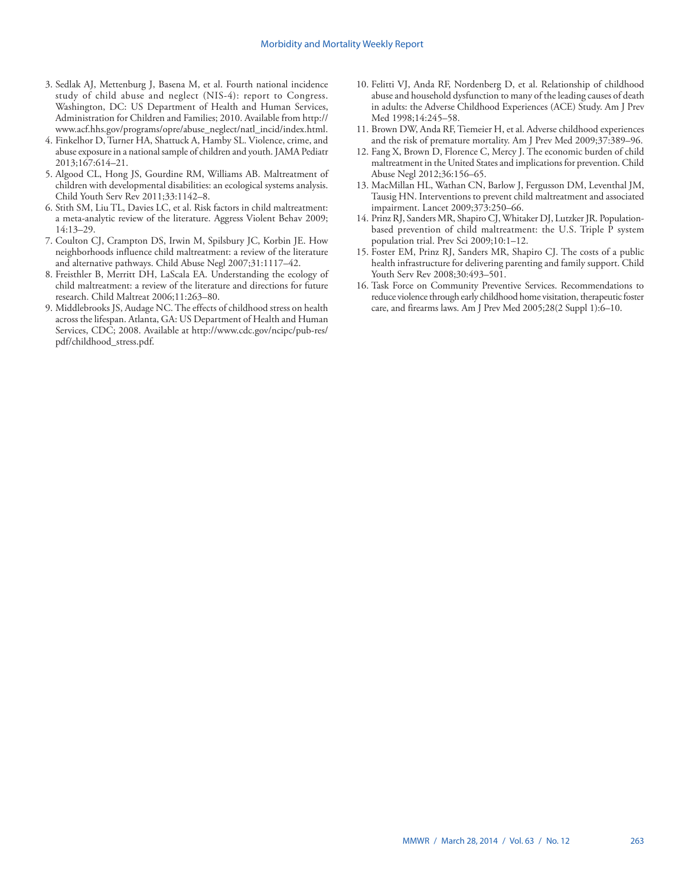- 3. Sedlak AJ, Mettenburg J, Basena M, et al. Fourth national incidence study of child abuse and neglect (NIS-4): report to Congress. Washington, DC: US Department of Health and Human Services, Administration for Children and Families; 2010. Available from [http://](http://www.acf.hhs.gov/programs/opre/abuse_neglect/natl_incid/index.html) [www.acf.hhs.gov/programs/opre/abuse\\_neglect/natl\\_incid/index.html](http://www.acf.hhs.gov/programs/opre/abuse_neglect/natl_incid/index.html).
- 4. Finkelhor D, Turner HA, Shattuck A, Hamby SL. Violence, crime, and abuse exposure in a national sample of children and youth. JAMA Pediatr 2013;167:614–21.
- 5. Algood CL, Hong JS, Gourdine RM, Williams AB. Maltreatment of children with developmental disabilities: an ecological systems analysis. Child Youth Serv Rev 2011;33:1142–8.
- 6. Stith SM, Liu TL, Davies LC, et al. Risk factors in child maltreatment: a meta-analytic review of the literature. Aggress Violent Behav 2009; 14:13–29.
- 7. Coulton CJ, Crampton DS, Irwin M, Spilsbury JC, Korbin JE. How neighborhoods influence child maltreatment: a review of the literature and alternative pathways. Child Abuse Negl 2007;31:1117–42.
- 8. Freisthler B, Merritt DH, LaScala EA. Understanding the ecology of child maltreatment: a review of the literature and directions for future research. Child Maltreat 2006;11:263–80.
- 9. Middlebrooks JS, Audage NC. The effects of childhood stress on health across the lifespan. Atlanta, GA: US Department of Health and Human Services, CDC; 2008. Available at [http://www.cdc.gov/ncipc/pub-res/](http://www.cdc.gov/ncipc/pub-res/pdf/childhood_stress.pdf) [pdf/childhood\\_stress.pdf.](http://www.cdc.gov/ncipc/pub-res/pdf/childhood_stress.pdf)
- 10. Felitti VJ, Anda RF, Nordenberg D, et al. Relationship of childhood abuse and household dysfunction to many of the leading causes of death in adults: the Adverse Childhood Experiences (ACE) Study. Am J Prev Med 1998;14:245–58.
- 11. Brown DW, Anda RF, Tiemeier H, et al. Adverse childhood experiences and the risk of premature mortality. Am J Prev Med 2009;37:389–96.
- 12. Fang X, Brown D, Florence C, Mercy J. The economic burden of child maltreatment in the United States and implications for prevention. Child Abuse Negl 2012;36:156–65.
- 13. MacMillan HL, Wathan CN, Barlow J, Fergusson DM, Leventhal JM, Tausig HN. Interventions to prevent child maltreatment and associated impairment. Lancet 2009;373:250–66.
- 14. Prinz RJ, Sanders MR, Shapiro CJ, Whitaker DJ, Lutzker JR. Populationbased prevention of child maltreatment: the U.S. Triple P system population trial. Prev Sci 2009;10:1–12.
- 15. Foster EM, Prinz RJ, Sanders MR, Shapiro CJ. The costs of a public health infrastructure for delivering parenting and family support. Child Youth Serv Rev 2008;30:493–501.
- 16. Task Force on Community Preventive Services. Recommendations to reduce violence through early childhood home visitation, therapeutic foster care, and firearms laws. Am J Prev Med 2005;28(2 Suppl 1):6–10.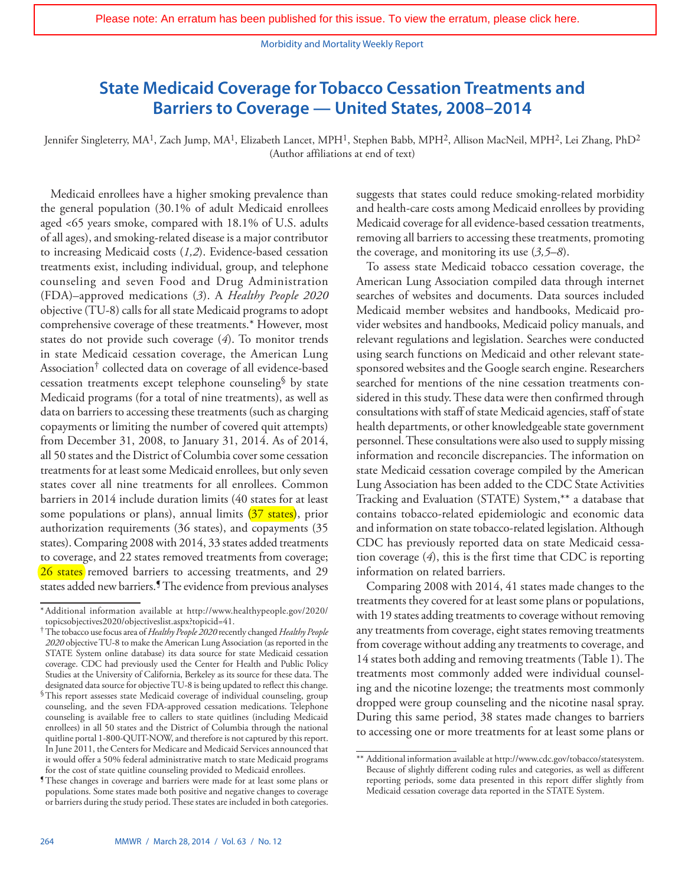# <span id="page-11-0"></span>**State Medicaid Coverage for Tobacco Cessation Treatments and Barriers to Coverage — United States, 2008–2014**

Jennifer Singleterry, MA<sup>1</sup>, Zach Jump, MA<sup>1</sup>, Elizabeth Lancet, MPH<sup>1</sup>, Stephen Babb, MPH<sup>2</sup>, Allison MacNeil, MPH<sup>2</sup>, Lei Zhang, PhD<sup>2</sup> (Author affiliations at end of text)

Medicaid enrollees have a higher smoking prevalence than the general population (30.1% of adult Medicaid enrollees aged <65 years smoke, compared with 18.1% of U.S. adults of all ages), and smoking-related disease is a major contributor to increasing Medicaid costs (*1,2*). Evidence-based cessation treatments exist, including individual, group, and telephone counseling and seven Food and Drug Administration (FDA)–approved medications (*3*). A *Healthy People 2020* objective (TU-8) calls for all state Medicaid programs to adopt comprehensive coverage of these treatments.\* However, most states do not provide such coverage (*4*). To monitor trends in state Medicaid cessation coverage, the American Lung Association† collected data on coverage of all evidence-based cessation treatments except telephone counseling§ by state Medicaid programs (for a total of nine treatments), as well as data on barriers to accessing these treatments (such as charging copayments or limiting the number of covered quit attempts) from December 31, 2008, to January 31, 2014. As of 2014, all 50 states and the District of Columbia cover some cessation treatments for at least some Medicaid enrollees, but only seven states cover all nine treatments for all enrollees. Common barriers in 2014 include duration limits (40 states for at least some populations or plans), annual limits  $(37 \text{ states})$ , prior authorization requirements (36 states), and copayments (35 states). Comparing 2008 with 2014, 33 states added treatments to coverage, and 22 states removed treatments from coverage; [26 states](http://www.cdc.gov/mmwr/preview/mmwrhtml/mm6329a7.htm?s_cid=mm6329a7_w) removed barriers to accessing treatments, and 29 states added new barriers.¶ The evidence from previous analyses

suggests that states could reduce smoking-related morbidity and health-care costs among Medicaid enrollees by providing Medicaid coverage for all evidence-based cessation treatments, removing all barriers to accessing these treatments, promoting the coverage, and monitoring its use (*3,5–8*).

To assess state Medicaid tobacco cessation coverage, the American Lung Association compiled data through internet searches of websites and documents. Data sources included Medicaid member websites and handbooks, Medicaid provider websites and handbooks, Medicaid policy manuals, and relevant regulations and legislation. Searches were conducted using search functions on Medicaid and other relevant statesponsored websites and the Google search engine. Researchers searched for mentions of the nine cessation treatments considered in this study. These data were then confirmed through consultations with staff of state Medicaid agencies, staff of state health departments, or other knowledgeable state government personnel. These consultations were also used to supply missing information and reconcile discrepancies. The information on state Medicaid cessation coverage compiled by the American Lung Association has been added to the CDC State Activities Tracking and Evaluation (STATE) System,\*\* a database that contains tobacco-related epidemiologic and economic data and information on state tobacco-related legislation. Although CDC has previously reported data on state Medicaid cessation coverage (*4*), this is the first time that CDC is reporting information on related barriers.

Comparing 2008 with 2014, 41 states made changes to the treatments they covered for at least some plans or populations, with 19 states adding treatments to coverage without removing any treatments from coverage, eight states removing treatments from coverage without adding any treatments to coverage, and 14 states both adding and removing treatments (Table 1). The treatments most commonly added were individual counseling and the nicotine lozenge; the treatments most commonly dropped were group counseling and the nicotine nasal spray. During this same period, 38 states made changes to barriers to accessing one or more treatments for at least some plans or

<sup>\*</sup>Additional information available at [http://www.healthypeople.gov/2020/](http://www.healthypeople.gov/2020/topicsobjectives2020/objectiveslist.aspx?topicid=41) [topicsobjectives2020/objectiveslist.aspx?topicid=41.](http://www.healthypeople.gov/2020/topicsobjectives2020/objectiveslist.aspx?topicid=41) †The tobacco use focus area of *Healthy People 2020* recently changed *Healthy People* 

*<sup>2020</sup>* objective TU-8 to make the American Lung Association (as reported in the STATE System online database) its data source for state Medicaid cessation coverage. CDC had previously used the Center for Health and Public Policy Studies at the University of California, Berkeley as its source for these data. The designated data source for objective TU-8 is being updated to reflect this change.

<sup>§</sup>This report assesses state Medicaid coverage of individual counseling, group counseling, and the seven FDA-approved cessation medications. Telephone counseling is available free to callers to state quitlines (including Medicaid enrollees) in all 50 states and the District of Columbia through the national quitline portal 1-800-QUIT-NOW, and therefore is not captured by this report. In June 2011, the Centers for Medicare and Medicaid Services announced that it would offer a 50% federal administrative match to state Medicaid programs for the cost of state quitline counseling provided to Medicaid enrollees.

<sup>¶</sup>These changes in coverage and barriers were made for at least some plans or populations. Some states made both positive and negative changes to coverage or barriers during the study period. These states are included in both categories.

<sup>\*\*</sup> Additional information available at [http://www.cdc.gov/tobacco/statesystem.](http://www.cdc.gov/tobacco/statesystem) Because of slightly different coding rules and categories, as well as different reporting periods, some data presented in this report differ slightly from Medicaid cessation coverage data reported in the STATE System.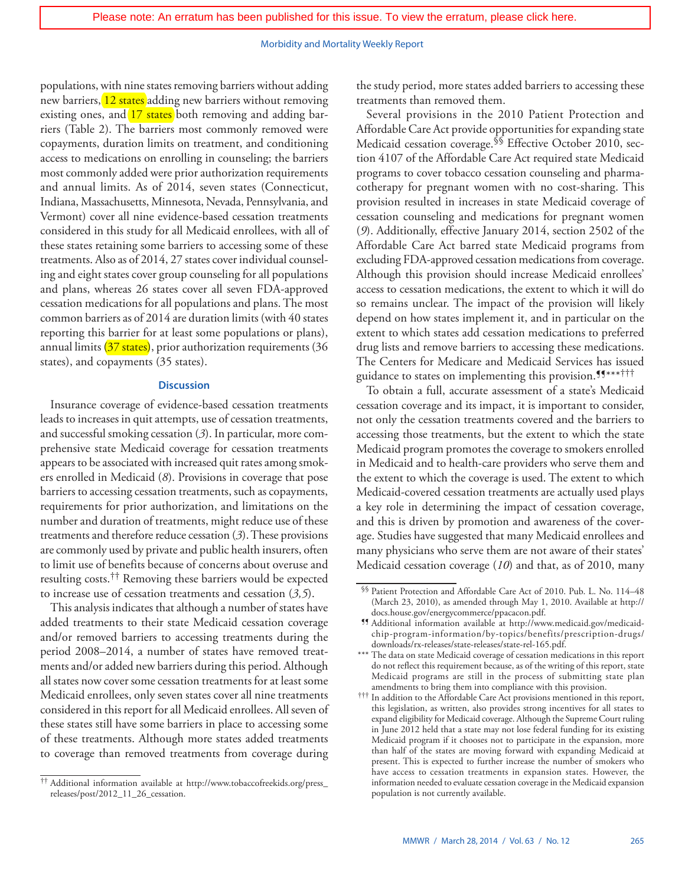populations, with nine states removing barriers without adding new barriers, [12 states](http://www.cdc.gov/mmwr/preview/mmwrhtml/mm6329a7.htm?s_cid=mm6329a7_w) adding new barriers without removing existing ones, and [17 states](http://www.cdc.gov/mmwr/preview/mmwrhtml/mm6329a7.htm?s_cid=mm6329a7_w) both removing and adding barriers (Table 2). The barriers most commonly removed were copayments, duration limits on treatment, and conditioning access to medications on enrolling in counseling; the barriers most commonly added were prior authorization requirements and annual limits. As of 2014, seven states (Connecticut, Indiana, Massachusetts, Minnesota, Nevada, Pennsylvania, and Vermont) cover all nine evidence-based cessation treatments considered in this study for all Medicaid enrollees, with all of these states retaining some barriers to accessing some of these treatments. Also as of 2014, 27 states cover individual counseling and eight states cover group counseling for all populations and plans, whereas 26 states cover all seven FDA-approved cessation medications for all populations and plans. The most common barriers as of 2014 are duration limits (with 40 states reporting this barrier for at least some populations or plans), annual limits [\(37 states\)](http://www.cdc.gov/mmwr/preview/mmwrhtml/mm6329a7.htm?s_cid=mm6329a7_w), prior authorization requirements (36 states), and copayments (35 states).

#### **Discussion**

Insurance coverage of evidence-based cessation treatments leads to increases in quit attempts, use of cessation treatments, and successful smoking cessation (*3*). In particular, more comprehensive state Medicaid coverage for cessation treatments appears to be associated with increased quit rates among smokers enrolled in Medicaid (*8*). Provisions in coverage that pose barriers to accessing cessation treatments, such as copayments, requirements for prior authorization, and limitations on the number and duration of treatments, might reduce use of these treatments and therefore reduce cessation (*3*). These provisions are commonly used by private and public health insurers, often to limit use of benefits because of concerns about overuse and resulting costs.†† Removing these barriers would be expected to increase use of cessation treatments and cessation (*3,5*).

This analysis indicates that although a number of states have added treatments to their state Medicaid cessation coverage and/or removed barriers to accessing treatments during the period 2008–2014, a number of states have removed treatments and/or added new barriers during this period. Although all states now cover some cessation treatments for at least some Medicaid enrollees, only seven states cover all nine treatments considered in this report for all Medicaid enrollees. All seven of these states still have some barriers in place to accessing some of these treatments. Although more states added treatments to coverage than removed treatments from coverage during

the study period, more states added barriers to accessing these treatments than removed them.

Several provisions in the 2010 Patient Protection and Affordable Care Act provide opportunities for expanding state Medicaid cessation coverage.§§ Effective October 2010, section 4107 of the Affordable Care Act required state Medicaid programs to cover tobacco cessation counseling and pharmacotherapy for pregnant women with no cost-sharing. This provision resulted in increases in state Medicaid coverage of cessation counseling and medications for pregnant women (*9*). Additionally, effective January 2014, section 2502 of the Affordable Care Act barred state Medicaid programs from excluding FDA-approved cessation medications from coverage. Although this provision should increase Medicaid enrollees' access to cessation medications, the extent to which it will do so remains unclear. The impact of the provision will likely depend on how states implement it, and in particular on the extent to which states add cessation medications to preferred drug lists and remove barriers to accessing these medications. The Centers for Medicare and Medicaid Services has issued guidance to states on implementing this provision.¶¶\*\*\*†††

To obtain a full, accurate assessment of a state's Medicaid cessation coverage and its impact, it is important to consider, not only the cessation treatments covered and the barriers to accessing those treatments, but the extent to which the state Medicaid program promotes the coverage to smokers enrolled in Medicaid and to health-care providers who serve them and the extent to which the coverage is used. The extent to which Medicaid-covered cessation treatments are actually used plays a key role in determining the impact of cessation coverage, and this is driven by promotion and awareness of the coverage. Studies have suggested that many Medicaid enrollees and many physicians who serve them are not aware of their states' Medicaid cessation coverage (*10*) and that, as of 2010, many

<sup>††</sup> Additional information available at [http://www.tobaccofreekids.org/press\\_](http://www.tobaccofreekids.org/press_releases/post/2012_11_26_cessation) [releases/post/2012\\_11\\_26\\_cessation](http://www.tobaccofreekids.org/press_releases/post/2012_11_26_cessation).

<sup>§§</sup> Patient Protection and Affordable Care Act of 2010. Pub. L. No. 114–48 (March 23, 2010), as amended through May 1, 2010. Available at [http://](http://docs.house.gov/energycommerce/ppacacon.pdf)

[docs.house.gov/energycommerce/ppacacon.pdf](http://docs.house.gov/energycommerce/ppacacon.pdf). ¶¶ Additional information available at [http://www.medicaid.gov/medicaid](http://www.medicaid.gov/medicaid-chip-program-information/by-topics/benefits/prescription-drugs/downloads/rx-releases/state-releases/state-rel-165.pdf)[chip-program-information/by-topics/benefits/prescription-drugs/](http://www.medicaid.gov/medicaid-chip-program-information/by-topics/benefits/prescription-drugs/downloads/rx-releases/state-releases/state-rel-165.pdf) [downloads/rx-releases/state-releases/state-rel-165.pdf](http://www.medicaid.gov/medicaid-chip-program-information/by-topics/benefits/prescription-drugs/downloads/rx-releases/state-releases/state-rel-165.pdf).

<sup>\*\*\*</sup> The data on state Medicaid coverage of cessation medications in this report do not reflect this requirement because, as of the writing of this report, state Medicaid programs are still in the process of submitting state plan amendments to bring them into compliance with this provision.

<sup>†††</sup> In addition to the Affordable Care Act provisions mentioned in this report, this legislation, as written, also provides strong incentives for all states to expand eligibility for Medicaid coverage. Although the Supreme Court ruling in June 2012 held that a state may not lose federal funding for its existing Medicaid program if it chooses not to participate in the expansion, more than half of the states are moving forward with expanding Medicaid at present. This is expected to further increase the number of smokers who have access to cessation treatments in expansion states. However, the information needed to evaluate cessation coverage in the Medicaid expansion population is not currently available.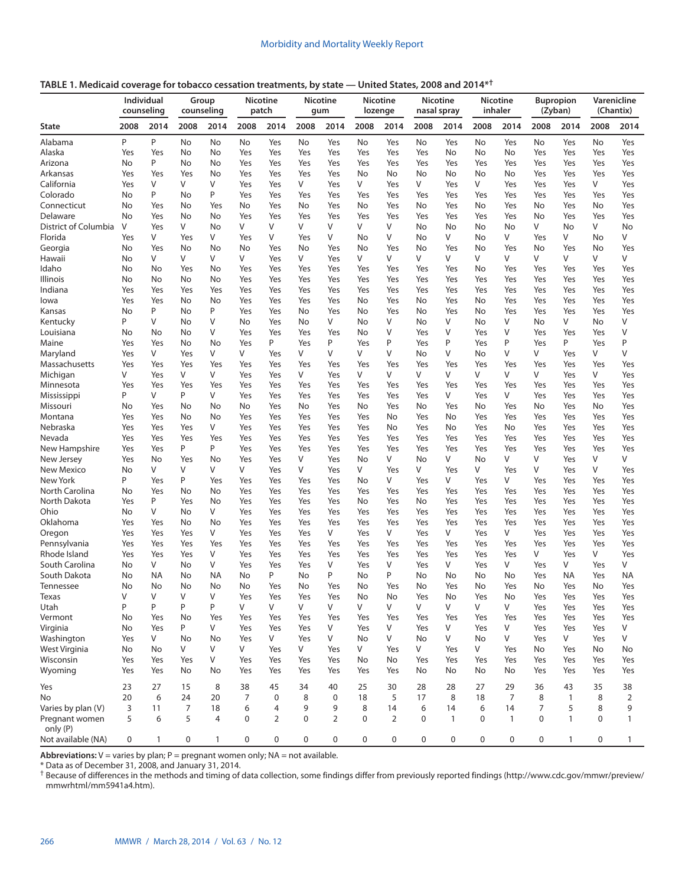**TABLE 1. Medicaid coverage for tobacco cessation treatments, by state — United States, 2008 and 2014\*†**

|                                      |      | <b>Individual</b><br>counseling |                | Group<br>counseling |                | <b>Nicotine</b><br>patch |      | <b>Nicotine</b><br>gum |             | <b>Nicotine</b><br>lozenge |             | <b>Nicotine</b><br>nasal spray |             | <b>Nicotine</b><br>inhaler |      | <b>Bupropion</b><br>(Zyban) |             | Varenicline<br>(Chantix) |
|--------------------------------------|------|---------------------------------|----------------|---------------------|----------------|--------------------------|------|------------------------|-------------|----------------------------|-------------|--------------------------------|-------------|----------------------------|------|-----------------------------|-------------|--------------------------|
| <b>State</b>                         | 2008 | 2014                            | 2008           | 2014                | 2008           | 2014                     | 2008 | 2014                   | 2008        | 2014                       | 2008        | 2014                           | 2008        | 2014                       | 2008 | 2014                        | 2008        | 2014                     |
| Alabama                              | P    | P                               | No             | No                  | No             | Yes                      | No   | Yes                    | No          | Yes                        | No          | Yes                            | No          | Yes                        | No   | Yes                         | No          | Yes                      |
| Alaska                               | Yes  | Yes                             | No             | No                  | Yes            | Yes                      | Yes  | Yes                    | Yes         | Yes                        | Yes         | No                             | No          | No                         | Yes  | Yes                         | Yes         | Yes                      |
| Arizona                              | No   | P                               | No             | No                  | Yes            | Yes                      | Yes  | Yes                    | Yes         | Yes                        | Yes         | Yes                            | Yes         | Yes                        | Yes  | Yes                         | Yes         | Yes                      |
| Arkansas                             | Yes  | Yes                             | Yes            | No                  | Yes            | Yes                      | Yes  | Yes                    | No          | No                         | No          | No                             | No          | No                         | Yes  | Yes                         | Yes         | Yes                      |
| California                           | Yes  | V                               | V              | V                   | Yes            | Yes                      | V    | Yes                    | V           | Yes                        | V           | Yes                            | V           | Yes                        | Yes  | Yes                         | V           | Yes                      |
| Colorado                             | No   | P                               | No             | P                   | Yes            | Yes                      | Yes  | Yes                    | Yes         | Yes                        | Yes         | Yes                            | Yes         | Yes                        | Yes  | Yes                         | Yes         | Yes                      |
| Connecticut                          | No   | Yes                             | No             | Yes                 | No             | Yes                      | No   | Yes                    | No          | Yes                        | No          | Yes                            | No          | Yes                        | No   | Yes                         | No          | Yes                      |
| Delaware                             | No   | Yes                             | No             | No                  | Yes            | Yes                      | Yes  | Yes                    | Yes         | Yes                        | Yes         | Yes                            | Yes         | Yes                        | No   | Yes                         | Yes         | Yes                      |
| District of Columbia                 | V    | Yes                             | V              | No                  | V              | V                        | V    | V                      | V           | V                          | No          | No                             | No          | No                         | V    | No                          | V           | No                       |
| Florida                              | Yes  | V                               | Yes            | V                   | Yes            | V                        | Yes  | V                      | No          | V                          | No          | V                              | No          | V                          | Yes  | V                           | No          | V                        |
| Georgia                              | No   | Yes                             | No             | No                  | No             | Yes                      | No   | Yes                    | No          | Yes                        | No          | Yes                            | No          | Yes                        | No   | Yes                         | No          | Yes                      |
| Hawaii                               | No   | V                               | V              | V                   | V              | Yes                      | V    | Yes                    | V           | V                          | V           | V                              | V           | V                          | V    | V                           | V           | V                        |
| Idaho                                | No   | No                              | Yes            | No                  | Yes            | Yes                      | Yes  | Yes                    | Yes         | Yes                        | Yes         | Yes                            | No          | Yes                        | Yes  | Yes                         | Yes         | Yes                      |
| Illinois                             | No   | No                              | No             | No                  | Yes            | Yes                      | Yes  | Yes                    | Yes         | Yes                        | Yes         | Yes                            | Yes         | Yes                        | Yes  | Yes                         | Yes         | Yes                      |
| Indiana                              | Yes  | Yes                             | Yes            | Yes                 | Yes            | Yes                      | Yes  | Yes                    | Yes         | Yes                        | Yes         | Yes                            | Yes         | Yes                        | Yes  | Yes                         | Yes         | Yes                      |
| lowa                                 | Yes  | Yes                             | No             | No                  | Yes            | Yes                      | Yes  | Yes                    | No          | Yes                        | No          | Yes                            | No          | Yes                        | Yes  | Yes                         | Yes         | Yes                      |
| Kansas                               | No   | P                               | No             | P                   | Yes            | Yes                      | No   | Yes                    | No          | Yes                        | No          | Yes                            | No          | Yes                        | Yes  | Yes                         | Yes         | Yes                      |
| Kentucky                             | P    | V                               | No             | V                   | No             | Yes                      | No   | V                      | No          | V                          | No          | V                              | No          | V                          | No   | V                           | No          | V                        |
| Louisiana                            | No   | No                              | No             | V                   | Yes            | Yes                      | Yes  | Yes                    | No          | V                          | Yes         | V                              | Yes         | V                          | Yes  | Yes                         | Yes         | V                        |
| Maine                                | Yes  | Yes                             | No             | No                  | Yes            | P                        | Yes  | P                      | Yes         | P                          | Yes         | Ρ                              | Yes         | P                          | Yes  | P                           | Yes         | Ρ                        |
| Maryland                             | Yes  | V                               | Yes            | V                   | V              | Yes                      | V    | V                      | V           | V                          | No          | V                              | No          | V                          | ٧    | Yes                         | V           | V                        |
| Massachusetts                        | Yes  | Yes                             | Yes            | Yes                 | Yes            | Yes                      | Yes  | Yes                    | Yes         | Yes                        | Yes         | Yes                            | Yes         | Yes                        | Yes  | Yes                         | Yes         | Yes                      |
| Michigan                             | V    | Yes                             | V              | V                   | Yes            | Yes                      | V    | Yes                    | V           | V                          | V           | V                              | V           | V                          | V    | Yes                         | V           | Yes                      |
| Minnesota                            | Yes  | Yes                             | Yes            | Yes                 | Yes            | Yes                      | Yes  | Yes                    | Yes         | Yes                        | Yes         | Yes                            | Yes         | Yes                        | Yes  | Yes                         | Yes         | Yes                      |
| Mississippi                          | P    | V                               | P              | V                   | Yes            | Yes                      | Yes  | Yes                    | Yes         | Yes                        | Yes         | V                              | Yes         | V                          | Yes  | Yes                         | Yes         | Yes                      |
| Missouri                             | No   | Yes                             | No             | No                  | No             | Yes                      | No   | Yes                    | No          | Yes                        | No          | Yes                            | No          | Yes                        | No   | Yes                         | No          | Yes                      |
| Montana                              | Yes  | Yes                             | No             | No                  | Yes            | Yes                      | Yes  | Yes                    | Yes         | No                         | Yes         | No                             | Yes         | Yes                        | Yes  | Yes                         | Yes         | Yes                      |
| Nebraska                             | Yes  | Yes                             | Yes            | V                   | Yes            | Yes                      | Yes  | Yes                    | Yes         | No                         | Yes         | No                             | Yes         | No                         | Yes  | Yes                         | Yes         | Yes                      |
| Nevada                               | Yes  | Yes                             | Yes            | Yes                 | Yes            | Yes                      | Yes  | Yes                    | Yes         | Yes                        | Yes         | Yes                            | Yes         | Yes                        | Yes  | Yes                         | Yes         | Yes                      |
| New Hampshire                        | Yes  | Yes                             | P              | P                   | Yes            | Yes                      | Yes  | Yes                    | Yes         | Yes                        | Yes         | Yes                            | Yes         | Yes                        | Yes  | Yes                         | Yes         | Yes                      |
| New Jersey                           | Yes  | No                              | Yes            | No                  | Yes            | Yes                      | V    | Yes                    | No          | V                          | No          | V                              | No          | V                          | V    | Yes                         | V           | V                        |
| New Mexico                           | No   | V                               | V              | V                   | V              | Yes                      | V    | Yes                    | V           | Yes                        | V           | Yes                            | V           | Yes                        | V    | Yes                         | V           | Yes                      |
| New York                             | P    | Yes                             | P              | Yes                 | Yes            | Yes                      | Yes  | Yes                    | No          | V                          | Yes         | V                              | Yes         | V                          | Yes  | Yes                         | Yes         | Yes                      |
| North Carolina                       | No   | Yes                             | No             | No                  | Yes            | Yes                      | Yes  | Yes                    | Yes         | Yes                        | Yes         | Yes                            | Yes         | Yes                        | Yes  | Yes                         | Yes         | Yes                      |
| North Dakota                         | Yes  | P                               | Yes            | No                  | Yes            | Yes                      | Yes  | Yes                    | No          | Yes                        | No          | Yes                            | Yes         | Yes                        | Yes  | Yes                         | Yes         | Yes                      |
| Ohio                                 | No   | V                               | No             | V                   | Yes            | Yes                      | Yes  | Yes                    | Yes         | Yes                        | Yes         | Yes                            | Yes         | Yes                        | Yes  | Yes                         | Yes         | Yes                      |
| Oklahoma                             | Yes  | Yes                             | No             | No                  | Yes            | Yes                      | Yes  | Yes                    | Yes         | Yes                        | Yes         | Yes                            | Yes         | Yes                        | Yes  | Yes                         | Yes         | Yes                      |
| Oregon                               | Yes  | Yes                             | Yes            | V                   | Yes            | Yes                      | Yes  | V                      | Yes         | V                          | Yes         | V                              | Yes         | V                          | Yes  | Yes                         | Yes         | Yes                      |
| Pennsylvania                         | Yes  | Yes                             | Yes            | Yes                 | Yes            | Yes                      | Yes  | Yes                    | Yes         | Yes                        | Yes         | Yes                            | Yes         | Yes                        | Yes  | Yes                         | Yes         | Yes                      |
| Rhode Island                         | Yes  | Yes                             | Yes            | V                   | Yes            | Yes                      | Yes  | Yes                    | Yes         | Yes                        | Yes         | Yes                            | Yes         | Yes                        | V    | Yes                         | V           | Yes                      |
| South Carolina                       | No   | V                               | No             | V                   | Yes            | Yes                      | Yes  | V                      | Yes         | V                          | Yes         | V                              | Yes         | V                          | Yes  | V                           | Yes         | V                        |
| South Dakota                         | No   | <b>NA</b>                       | No             | <b>NA</b>           | No             | P                        | No   | P                      | No          | P                          | No          | No                             | No          | No                         | Yes  | NA                          | Yes         | <b>NA</b>                |
| Tennessee                            | No   | No                              | No             | No                  | No             | Yes                      | No   | Yes                    | No          | Yes                        | No          | Yes                            | No          | Yes                        | No   | Yes                         | No          | Yes                      |
| Texas                                | V    | V                               | V              | V                   | Yes            | Yes                      | Yes  | Yes                    | No          | No                         | Yes         | No                             | Yes         | No                         | Yes  | Yes                         | Yes         | Yes                      |
| Utah                                 | P    | P                               | P              | P                   | V              | V                        | V    | V                      | V           | V                          | V           | V                              | V           | V                          | Yes  | Yes                         | Yes         | Yes                      |
| Vermont                              | No   | Yes                             | No             | Yes                 | Yes            | Yes                      | Yes  | Yes                    | Yes         | Yes                        | Yes         | Yes                            | Yes         | Yes                        | Yes  | Yes                         | Yes         | Yes                      |
| Virginia                             | No   | Yes                             | P              | V                   | Yes            | Yes                      | Yes  | V                      | Yes         | V                          | Yes         | V                              | Yes         | V                          | Yes  | Yes                         | Yes         | V                        |
| Washington                           | Yes  | V                               | No             | No                  | Yes            | V                        | Yes  | V                      | <b>No</b>   | V                          | No          | V                              | <b>No</b>   | V                          | Yes  | V                           | Yes         | V                        |
| West Virginia                        | No   | No                              | V              | V                   | V              | Yes                      | V    | Yes                    | V           | Yes                        | V           | Yes                            | V           | Yes                        | No   | Yes                         | No          | No                       |
| Wisconsin                            | Yes  | Yes                             | Yes            | V                   | Yes            | Yes                      | Yes  | Yes                    | No          | No                         | Yes         | Yes                            | Yes         | Yes                        | Yes  | Yes                         | Yes         | Yes                      |
| Wyoming                              | Yes  | Yes                             | No             | No                  | Yes            | Yes                      | Yes  | Yes                    | Yes         | Yes                        | No          | No                             | No          | No                         | Yes  | Yes                         | Yes         | Yes                      |
| Yes                                  | 23   | 27                              | 15             | 8                   | 38             | 45                       | 34   | 40                     | 25          | 30                         | 28          |                                | 27          | 29                         | 36   | 43                          | 35          |                          |
| No                                   | 20   | 6                               | 24             | 20                  | $\overline{7}$ | 0                        | 8    | $\mathbf 0$            | 18          | 5                          | 17          | 28<br>8                        | 18          | $\overline{7}$             | 8    | $\mathbf{1}$                | 8           | 38<br>$\overline{2}$     |
|                                      | 3    | 11                              | $\overline{7}$ | 18                  | 6              | 4                        | 9    | 9                      | 8           | 14                         | 6           | 14                             | 6           | 14                         | 7    | 5                           | 8           | 9                        |
| Varies by plan (V)<br>Pregnant women | 5    | 6                               | 5              | $\overline{4}$      | $\mathbf 0$    | $\overline{2}$           | 0    | $\overline{2}$         | $\mathbf 0$ | $\overline{2}$             | $\mathbf 0$ | $\mathbf{1}$                   | $\mathbf 0$ | $\mathbf{1}$               | 0    | $\mathbf{1}$                | $\mathbf 0$ | 1                        |
| only (P)<br>Not available (NA)       | 0    | $\mathbf{1}$                    | 0              | $\mathbf{1}$        | $\mathbf 0$    | $\mathbf 0$              | 0    | 0                      | $\mathbf 0$ | $\mathbf 0$                | $\mathbf 0$ | $\mathbf 0$                    | 0           | $\pmb{0}$                  | 0    | $\mathbf{1}$                | $\mathbf 0$ | $\mathbf{1}$             |

**Abbreviations:**  $V =$  varies by plan;  $P =$  pregnant women only;  $NA =$  not available.

\* Data as of December 31, 2008, and January 31, 2014.

† Because of differences in the methods and timing of data collection, some findings differ from previously reported findings ([http://www.cdc.gov/mmwr/preview/](http://www.cdc.gov/mmwr/preview/mmwrhtml/mm5941a4.htm) [mmwrhtml/mm5941a4.htm](http://www.cdc.gov/mmwr/preview/mmwrhtml/mm5941a4.htm)).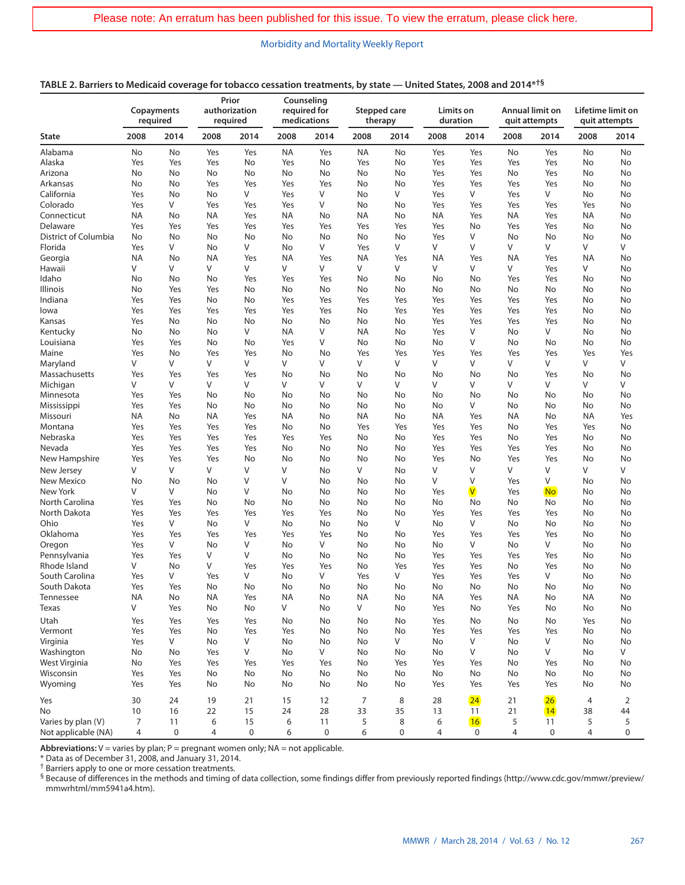| TABLE 2. Barriers to Medicaid coverage for tobacco cessation treatments, by state — United States, 2008 and 2014* <sup>†§</sup> |  |  |
|---------------------------------------------------------------------------------------------------------------------------------|--|--|
|                                                                                                                                 |  |  |

|                           | Copayments<br>required |           | Prior<br>authorization<br>required |           | Counseling<br>required for<br>medications |           |                              | Stepped care<br>therapy | Limits on<br>duration |                         | Annual limit on<br>quit attempts |           | Lifetime limit on<br>quit attempts |          |
|---------------------------|------------------------|-----------|------------------------------------|-----------|-------------------------------------------|-----------|------------------------------|-------------------------|-----------------------|-------------------------|----------------------------------|-----------|------------------------------------|----------|
| <b>State</b>              | 2008                   | 2014      | 2008                               | 2014      | 2008                                      | 2014      | 2008                         | 2014                    | 2008                  | 2014                    | 2008                             | 2014      | 2008                               | 2014     |
| Alabama                   | No                     | No        | Yes                                | Yes       | <b>NA</b>                                 | Yes       | NA                           | No                      | Yes                   | Yes                     | No                               | Yes       | No                                 | No       |
| Alaska                    | Yes                    | Yes       | Yes                                | No        | Yes                                       | No        | Yes                          | No                      | Yes                   | Yes                     | Yes                              | Yes       | No                                 | No       |
| Arizona                   | No                     | No        | No                                 | No        | No                                        | No        | No                           | No                      | Yes                   | Yes                     | No                               | Yes       | No                                 | No       |
| Arkansas                  | No                     | No        | Yes                                | Yes       | Yes                                       | Yes       | No                           | No                      | Yes                   | Yes                     | Yes                              | Yes       | No                                 | No       |
| California                | Yes                    | No        | No                                 | V         | Yes                                       | V         | No                           | V                       | Yes                   | V                       | Yes                              | V         | No                                 | No       |
| Colorado                  | Yes                    | V         | Yes                                | Yes       | Yes                                       | V         | No                           | No                      | Yes                   | Yes                     | Yes                              | Yes       | Yes                                | No       |
| Connecticut               | NA                     | No        | NA                                 | Yes       | <b>NA</b>                                 | No        | <b>NA</b>                    | No                      | ΝA                    | Yes                     | ΝA                               | Yes       | NA                                 | No       |
| Delaware                  | Yes                    | Yes       | Yes                                | Yes       | Yes                                       | Yes       | Yes                          | Yes                     | Yes                   | No                      | Yes                              | Yes       | No                                 | No       |
| District of Columbia      | No                     | No        | No                                 | No        | No                                        | No        | No                           | No                      | Yes                   | V                       | No                               | No        | No                                 | No       |
| Florida                   | Yes                    | V         | No                                 | V         | No                                        | V         | Yes                          | V                       | V                     | V                       | V                                | V         | V                                  | V        |
| Georgia                   | NA                     | No        | <b>NA</b>                          | Yes       | <b>NA</b>                                 | Yes       | <b>NA</b>                    | Yes                     | <b>NA</b>             | Yes                     | ΝA                               | Yes       | <b>NA</b>                          | No       |
| Hawaii                    | V                      | V         | V                                  | V         | V                                         | V         | V                            | V                       | V                     | V                       | V                                | Yes       | V                                  | No       |
| Idaho                     | No                     | No        | No                                 | Yes       | Yes                                       | Yes       | No                           | No                      | No                    | No                      | Yes                              | Yes       | No                                 | No       |
| Illinois                  | No                     | Yes       | Yes                                | No        | No                                        | No        | No                           | No                      | No                    | No                      | No                               | No        | No                                 | No       |
| Indiana                   | Yes                    | Yes       | No                                 | No        | Yes                                       | Yes       | Yes                          | Yes                     | Yes                   | Yes                     | Yes                              | Yes       | No                                 | No       |
| lowa                      | Yes                    | Yes       | Yes                                | Yes       | Yes                                       | Yes       | No                           | Yes                     | Yes                   | Yes                     | Yes                              | Yes       | No                                 | No       |
| Kansas                    | Yes                    | No        | No                                 | No        | No                                        | No        | No                           | No                      | Yes                   | Yes                     | Yes                              | Yes       | No                                 | No       |
| Kentucky                  | No                     | No        | No                                 | V         | <b>NA</b>                                 | V         | <b>NA</b>                    | No                      | Yes                   | V                       | No                               | V         | No                                 | No       |
| Louisiana                 | Yes                    | Yes       | No                                 | No        | Yes                                       | V         | No                           | No                      | No                    | V                       | No                               | No        | No                                 | No       |
| Maine                     | Yes                    | No        | Yes                                | Yes       | No                                        | No        | Yes                          | Yes                     | Yes                   | Yes                     | Yes                              | Yes       | Yes                                | Yes      |
| Maryland                  | V                      | V         | V                                  | V         | V                                         | V         | V                            | V                       | V                     | V                       | V                                | V         | V                                  | V        |
| Massachusetts             | Yes                    | Yes       | Yes                                | Yes       | No                                        | No        | No                           | No                      | No                    | No                      | No                               | Yes       | No                                 | No       |
| Michigan                  | V                      | V         | V                                  | V         | V                                         | V         | V                            | V                       | V                     | V                       | V                                | V         | V                                  | V        |
| Minnesota                 | Yes                    | Yes       | No                                 | No        | No                                        | No        | No                           | No                      | No                    | No                      | No                               | No        | No                                 | No       |
| Mississippi               | Yes                    | Yes       | No                                 | No        | No                                        | No        | No                           | No                      | No                    | V                       | No                               | No        | No                                 | No       |
| Missouri                  | ΝA                     | No        | NA                                 | Yes       | <b>NA</b>                                 | No        | <b>NA</b>                    | No                      | NA                    | Yes                     | ΝA                               | No        | <b>NA</b>                          | Yes      |
| Montana                   | Yes                    | Yes       | Yes                                | Yes       | No                                        | No        | Yes                          | Yes                     | Yes                   | Yes                     | No                               | Yes       | Yes                                | No       |
| Nebraska                  | Yes                    | Yes       | Yes                                | Yes       | Yes                                       | Yes       | No                           | No                      | Yes                   | Yes                     | No                               | Yes       | No                                 | No       |
| Nevada                    | Yes                    | Yes       | Yes                                | Yes       | No                                        | No        | No                           | No                      | Yes                   | Yes                     | Yes                              | Yes       | No                                 | No       |
| New Hampshire             | Yes                    | Yes       | Yes                                | No        | No                                        | No        | No                           | No                      | Yes                   | No                      | Yes                              | Yes       | No                                 | No       |
| New Jersey                | V                      | V         | V                                  | V         | V                                         | No        | V                            | No                      | $\vee$                | V                       | V                                | V         | V                                  | V        |
| <b>New Mexico</b>         | No                     | No        | No                                 | V         | V                                         | No        | No                           | No                      | V                     | V                       | Yes                              | V         | No                                 | No       |
| New York                  | V                      | V         | No                                 | V         | No                                        | No        | No                           | No                      | Yes                   | $\overline{\mathsf{V}}$ | Yes                              | <b>No</b> | No                                 | No       |
| North Carolina            | Yes                    | Yes       | No                                 | No        | No                                        | No        | No                           | No                      | No                    | No                      | No                               | No        | No                                 | No       |
| North Dakota              | Yes                    | Yes       | Yes                                | Yes       | Yes                                       | Yes       | No                           | No                      | Yes                   | Yes                     | Yes                              | Yes       | No                                 | No       |
| Ohio                      | Yes                    | V         | No                                 | V         | No                                        | No        | No                           | V                       | No                    | V                       | No                               | No        | No                                 | No       |
| Oklahoma                  | Yes                    | Yes       | Yes                                | Yes       | Yes                                       | Yes       | No                           | No                      | Yes                   | Yes                     | Yes                              | Yes       | No                                 | No       |
| Oregon                    | Yes                    | V         | No                                 | V         | No                                        | V         | No                           | No                      | No                    | V                       | No                               | V         | No                                 | No       |
| Pennsylvania              | Yes<br>V               | Yes       | V<br>V                             | V         | No                                        | No        | No                           | No                      | Yes                   | Yes                     | Yes                              | Yes       | No                                 | No       |
| Rhode Island              |                        | No<br>V   |                                    | Yes<br>V  | Yes                                       | Yes<br>V  | No                           | Yes                     | Yes                   | Yes                     | No                               | Yes<br>V  | No                                 | No       |
| South Carolina            | Yes                    |           | Yes                                |           | No                                        |           | Yes                          | V                       | Yes                   | Yes                     | Yes                              |           | No                                 | No       |
| South Dakota<br>Tennessee | Yes                    | Yes<br>No | No<br><b>NA</b>                    | No        | No<br>NA                                  | No        | No                           | No                      | No                    | No                      | No                               | No        | No                                 | No       |
|                           | ΝA<br>V                | Yes       | No                                 | Yes<br>No | V                                         | No<br>No  | <b>NA</b><br>V               | No<br>No                | ΝA<br>Yes             | Yes                     | ΝA<br>Yes                        | No        | ΝA                                 | No<br>No |
| Texas                     |                        |           |                                    |           |                                           |           |                              |                         |                       | No                      |                                  | No        | $\mathsf{No}$                      |          |
| Utah                      | Yes                    | Yes       | Yes                                | Yes       | No                                        | No        | No                           | No                      | Yes                   | No                      | No                               | No        | Yes                                | No       |
| Vermont                   | Yes                    | Yes       | No                                 | Yes       | Yes                                       | No        | $\operatorname{\mathsf{No}}$ | No                      | Yes                   | Yes                     | Yes                              | Yes       | No                                 | No       |
| Virginia                  | Yes                    | V         | No                                 | ٧         | No                                        | No        | No                           | V                       | No                    | V                       | No                               | V         | No                                 | No       |
| Washington                | No                     | No        | Yes                                | V         | No                                        | V         | No                           | No                      | No                    | V                       | No                               | V         | No                                 | V        |
| West Virginia             | No                     | Yes       | Yes                                | Yes       | Yes                                       | Yes       | No                           | Yes                     | Yes                   | Yes                     | No                               | Yes       | No                                 | No       |
| Wisconsin                 | Yes                    | Yes       | No                                 | No        | No                                        | No        | No                           | No                      | No                    | No                      | No                               | No        | No                                 | No       |
| Wyoming                   | Yes                    | Yes       | No                                 | No        | No                                        | No        | No                           | No                      | Yes                   | Yes                     | Yes                              | Yes       | No                                 | No       |
| Yes                       | 30                     | 24        | 19                                 | 21        | 15                                        | 12        | 7                            | 8                       | 28                    | 24                      | 21                               | 26        | 4                                  | 2        |
| No                        | 10                     | 16        | 22                                 | 15        | 24                                        | 28        | 33                           | 35                      | 13                    | 11                      | 21                               | 14        | 38                                 | 44       |
| Varies by plan (V)        | 7                      | 11        | 6                                  | 15        | 6                                         | 11        | 5                            | 8                       | 6                     | 16                      | 5                                | 11        | 5                                  | 5        |
| Not applicable (NA)       | 4                      | 0         | $\overline{4}$                     | $\pmb{0}$ | 6                                         | $\pmb{0}$ | 6                            | $\mathbf 0$             | 4                     | $\pmb{0}$               | 4                                | 0         | $\overline{4}$                     | 0        |

Abbreviations:  $V =$  varies by plan;  $P =$  pregnant women only;  $NA =$  not applicable.

\* Data as of December 31, 2008, and January 31, 2014.

† Barriers apply to one or more cessation treatments.

§ Because of differences in the methods and timing of data collection, some findings differ from previously reported findings ([http://www.cdc.gov/mmwr/preview/](http://www.cdc.gov/mmwr/preview/mmwrhtml/mm5941a4.htm) [mmwrhtml/mm5941a4.htm](http://www.cdc.gov/mmwr/preview/mmwrhtml/mm5941a4.htm)).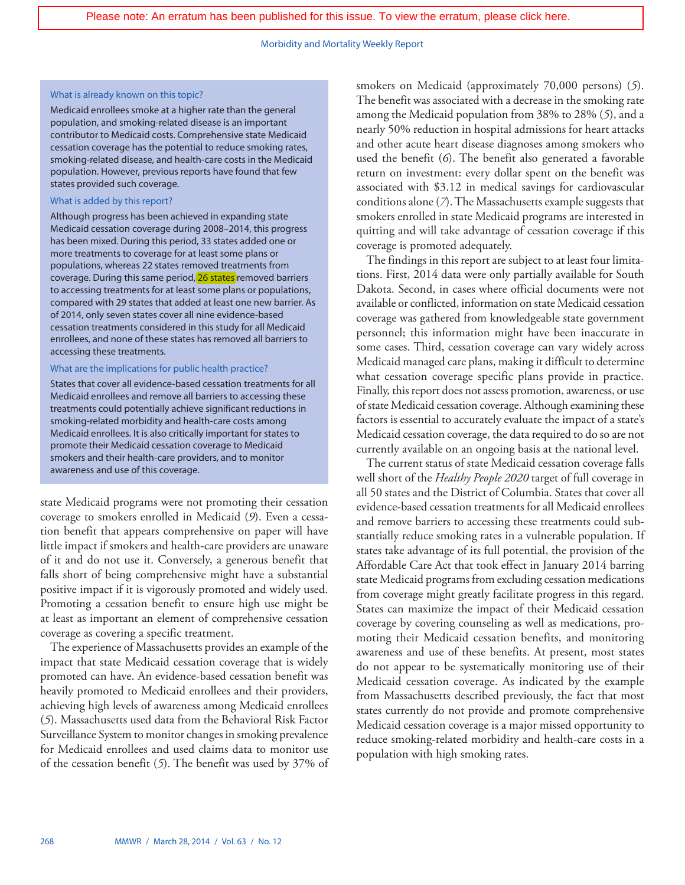#### What is already known on this topic?

Medicaid enrollees smoke at a higher rate than the general population, and smoking-related disease is an important contributor to Medicaid costs. Comprehensive state Medicaid cessation coverage has the potential to reduce smoking rates, smoking-related disease, and health-care costs in the Medicaid population. However, previous reports have found that few states provided such coverage.

### What is added by this report?

Although progress has been achieved in expanding state Medicaid cessation coverage during 2008–2014, this progress has been mixed. During this period, 33 states added one or more treatments to coverage for at least some plans or populations, whereas 22 states removed treatments from coverage. During this same period, [26 states](http://www.cdc.gov/mmwr/preview/mmwrhtml/mm6329a7.htm?s_cid=mm6329a7_w) removed barriers to accessing treatments for at least some plans or populations, compared with 29 states that added at least one new barrier. As of 2014, only seven states cover all nine evidence-based cessation treatments considered in this study for all Medicaid enrollees, and none of these states has removed all barriers to accessing these treatments.

#### What are the implications for public health practice?

States that cover all evidence-based cessation treatments for all Medicaid enrollees and remove all barriers to accessing these treatments could potentially achieve significant reductions in smoking-related morbidity and health-care costs among Medicaid enrollees. It is also critically important for states to promote their Medicaid cessation coverage to Medicaid smokers and their health-care providers, and to monitor awareness and use of this coverage.

state Medicaid programs were not promoting their cessation coverage to smokers enrolled in Medicaid (*9*). Even a cessation benefit that appears comprehensive on paper will have little impact if smokers and health-care providers are unaware of it and do not use it. Conversely, a generous benefit that falls short of being comprehensive might have a substantial positive impact if it is vigorously promoted and widely used. Promoting a cessation benefit to ensure high use might be at least as important an element of comprehensive cessation coverage as covering a specific treatment.

The experience of Massachusetts provides an example of the impact that state Medicaid cessation coverage that is widely promoted can have. An evidence-based cessation benefit was heavily promoted to Medicaid enrollees and their providers, achieving high levels of awareness among Medicaid enrollees (*5*). Massachusetts used data from the Behavioral Risk Factor Surveillance System to monitor changes in smoking prevalence for Medicaid enrollees and used claims data to monitor use of the cessation benefit (*5*). The benefit was used by 37% of smokers on Medicaid (approximately 70,000 persons) (*5*). The benefit was associated with a decrease in the smoking rate among the Medicaid population from 38% to 28% (*5*), and a nearly 50% reduction in hospital admissions for heart attacks and other acute heart disease diagnoses among smokers who used the benefit (*6*). The benefit also generated a favorable return on investment: every dollar spent on the benefit was associated with \$3.12 in medical savings for cardiovascular conditions alone (*7*). The Massachusetts example suggests that smokers enrolled in state Medicaid programs are interested in quitting and will take advantage of cessation coverage if this coverage is promoted adequately.

The findings in this report are subject to at least four limitations. First, 2014 data were only partially available for South Dakota. Second, in cases where official documents were not available or conflicted, information on state Medicaid cessation coverage was gathered from knowledgeable state government personnel; this information might have been inaccurate in some cases. Third, cessation coverage can vary widely across Medicaid managed care plans, making it difficult to determine what cessation coverage specific plans provide in practice. Finally, this report does not assess promotion, awareness, or use of state Medicaid cessation coverage. Although examining these factors is essential to accurately evaluate the impact of a state's Medicaid cessation coverage, the data required to do so are not currently available on an ongoing basis at the national level.

The current status of state Medicaid cessation coverage falls well short of the *Healthy People 2020* target of full coverage in all 50 states and the District of Columbia. States that cover all evidence-based cessation treatments for all Medicaid enrollees and remove barriers to accessing these treatments could substantially reduce smoking rates in a vulnerable population. If states take advantage of its full potential, the provision of the Affordable Care Act that took effect in January 2014 barring state Medicaid programs from excluding cessation medications from coverage might greatly facilitate progress in this regard. States can maximize the impact of their Medicaid cessation coverage by covering counseling as well as medications, promoting their Medicaid cessation benefits, and monitoring awareness and use of these benefits. At present, most states do not appear to be systematically monitoring use of their Medicaid cessation coverage. As indicated by the example from Massachusetts described previously, the fact that most states currently do not provide and promote comprehensive Medicaid cessation coverage is a major missed opportunity to reduce smoking-related morbidity and health-care costs in a population with high smoking rates.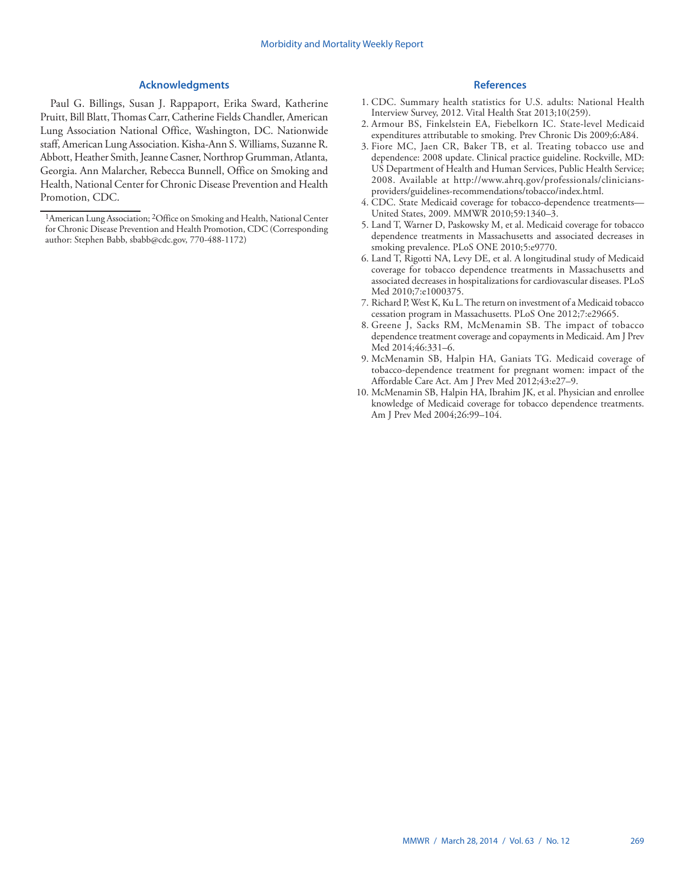#### **Acknowledgments**

Paul G. Billings, Susan J. Rappaport, Erika Sward, Katherine Pruitt, Bill Blatt, Thomas Carr, Catherine Fields Chandler, American Lung Association National Office, Washington, DC. Nationwide staff, American Lung Association. Kisha-Ann S. Williams, Suzanne R. Abbott, Heather Smith, Jeanne Casner, Northrop Grumman, Atlanta, Georgia. Ann Malarcher, Rebecca Bunnell, Office on Smoking and Health, National Center for Chronic Disease Prevention and Health Promotion, CDC.

- 1. CDC. Summary health statistics for U.S. adults: National Health Interview Survey, 2012. Vital Health Stat 2013;10(259).
- 2. Armour BS, Finkelstein EA, Fiebelkorn IC. State-level Medicaid expenditures attributable to smoking. Prev Chronic Dis 2009;6:A84.
- 3. Fiore MC, Jaen CR, Baker TB, et al. Treating tobacco use and dependence: 2008 update. Clinical practice guideline. Rockville, MD: US Department of Health and Human Services, Public Health Service; 2008. Available at [http://www.ahrq.gov/professionals/clinicians](http://www.ahrq.gov/professionals/clinicians-providers/guidelines-recommendations/tobacco/index.html)[providers/guidelines-recommendations/tobacco/index.html.](http://www.ahrq.gov/professionals/clinicians-providers/guidelines-recommendations/tobacco/index.html)
- 4. CDC. State Medicaid coverage for tobacco-dependence treatments— United States, 2009. MMWR 2010;59:1340–3.
- 5. Land T, Warner D, Paskowsky M, et al. Medicaid coverage for tobacco dependence treatments in Massachusetts and associated decreases in smoking prevalence. PLoS ONE 2010;5:e9770.
- 6. Land T, Rigotti NA, Levy DE, et al. A longitudinal study of Medicaid coverage for tobacco dependence treatments in Massachusetts and associated decreases in hospitalizations for cardiovascular diseases. PLoS Med 2010;7:e1000375.
- 7. Richard P, West K, Ku L. The return on investment of a Medicaid tobacco cessation program in Massachusetts. PLoS One 2012;7:e29665.
- 8. Greene J, Sacks RM, McMenamin SB. The impact of tobacco dependence treatment coverage and copayments in Medicaid. Am J Prev Med 2014;46:331–6.
- 9. McMenamin SB, Halpin HA, Ganiats TG. Medicaid coverage of tobacco-dependence treatment for pregnant women: impact of the Affordable Care Act. Am J Prev Med 2012;43:e27–9.
- 10. McMenamin SB, Halpin HA, Ibrahim JK, et al. Physician and enrollee knowledge of Medicaid coverage for tobacco dependence treatments. Am J Prev Med 2004;26:99–104.

<sup>&</sup>lt;sup>1</sup>American Lung Association; <sup>2</sup>Office on Smoking and Health, National Center for Chronic Disease Prevention and Health Promotion, CDC (Corresponding author: Stephen Babb, [sbabb@cdc.gov,](mailto:sbabb@cdc.gov) 770-488-1172)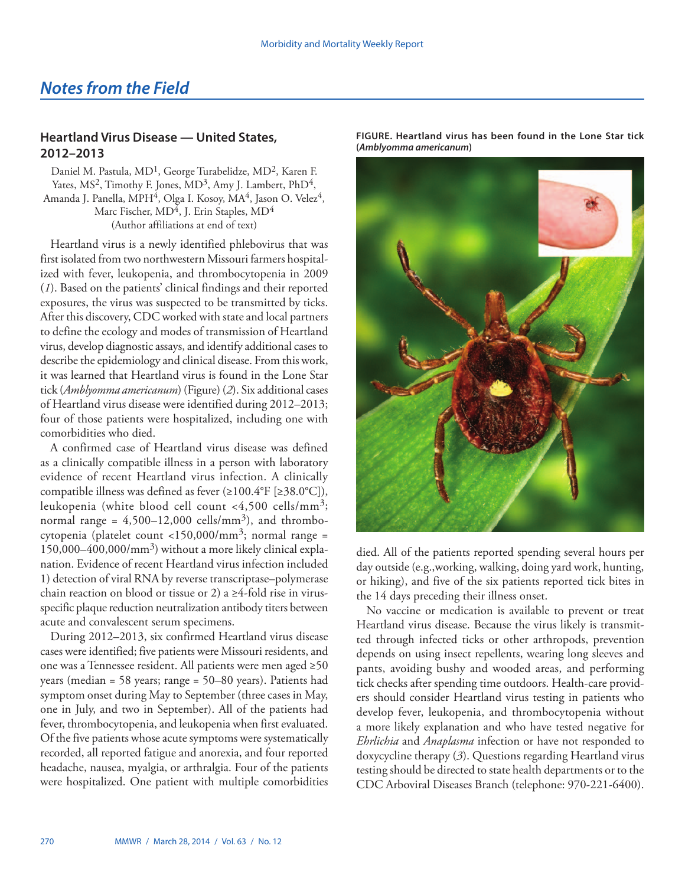## <span id="page-17-0"></span>*Notes from the Field*

## **Heartland Virus Disease — United States, 2012–2013**

Daniel M. Pastula, MD<sup>1</sup>, George Turabelidze, MD<sup>2</sup>, Karen F. Yates, MS<sup>2</sup>, Timothy F. Jones, MD<sup>3</sup>, Amy J. Lambert, PhD<sup>4</sup>, Amanda J. Panella, MPH<sup>4</sup>, Olga I. Kosoy, MA<sup>4</sup>, Jason O. Velez<sup>4</sup>, Marc Fischer,  $MD<sup>4</sup>$ , J. Erin Staples,  $MD<sup>4</sup>$ (Author affiliations at end of text)

Heartland virus is a newly identified phlebovirus that was first isolated from two northwestern Missouri farmers hospitalized with fever, leukopenia, and thrombocytopenia in 2009 (*1*). Based on the patients' clinical findings and their reported exposures, the virus was suspected to be transmitted by ticks. After this discovery, CDC worked with state and local partners to define the ecology and modes of transmission of Heartland virus, develop diagnostic assays, and identify additional cases to describe the epidemiology and clinical disease. From this work, it was learned that Heartland virus is found in the Lone Star tick (*Amblyomma americanum*) (Figure) (*2*). Six additional cases of Heartland virus disease were identified during 2012–2013; four of those patients were hospitalized, including one with comorbidities who died.

A confirmed case of Heartland virus disease was defined as a clinically compatible illness in a person with laboratory evidence of recent Heartland virus infection. A clinically compatible illness was defined as fever (≥100.4°F [≥38.0°C]), leukopenia (white blood cell count <4,500 cells/mm3; normal range =  $4,500-12,000$  cells/mm<sup>3</sup>), and thrombocytopenia (platelet count <150,000/mm<sup>3</sup>; normal range = 150,000–400,000/mm3) without a more likely clinical explanation. Evidence of recent Heartland virus infection included 1) detection of viral RNA by reverse transcriptase–polymerase chain reaction on blood or tissue or 2) a  $\geq$ 4-fold rise in virusspecific plaque reduction neutralization antibody titers between acute and convalescent serum specimens.

During 2012–2013, six confirmed Heartland virus disease cases were identified; five patients were Missouri residents, and one was a Tennessee resident. All patients were men aged ≥50 years (median = 58 years; range = 50–80 years). Patients had symptom onset during May to September (three cases in May, one in July, and two in September). All of the patients had fever, thrombocytopenia, and leukopenia when first evaluated. Of the five patients whose acute symptoms were systematically recorded, all reported fatigue and anorexia, and four reported headache, nausea, myalgia, or arthralgia. Four of the patients were hospitalized. One patient with multiple comorbidities



**FIGURE. Heartland virus has been found in the Lone Star tick (***Amblyomma americanum***)**

died. All of the patients reported spending several hours per day outside (e.g.,working, walking, doing yard work, hunting, or hiking), and five of the six patients reported tick bites in the 14 days preceding their illness onset.

No vaccine or medication is available to prevent or treat Heartland virus disease. Because the virus likely is transmitted through infected ticks or other arthropods, prevention depends on using insect repellents, wearing long sleeves and pants, avoiding bushy and wooded areas, and performing tick checks after spending time outdoors. Health-care providers should consider Heartland virus testing in patients who develop fever, leukopenia, and thrombocytopenia without a more likely explanation and who have tested negative for *Ehrlichia* and *Anaplasma* infection or have not responded to doxycycline therapy (*3*). Questions regarding Heartland virus testing should be directed to state health departments or to the CDC Arboviral Diseases Branch (telephone: 970-221-6400).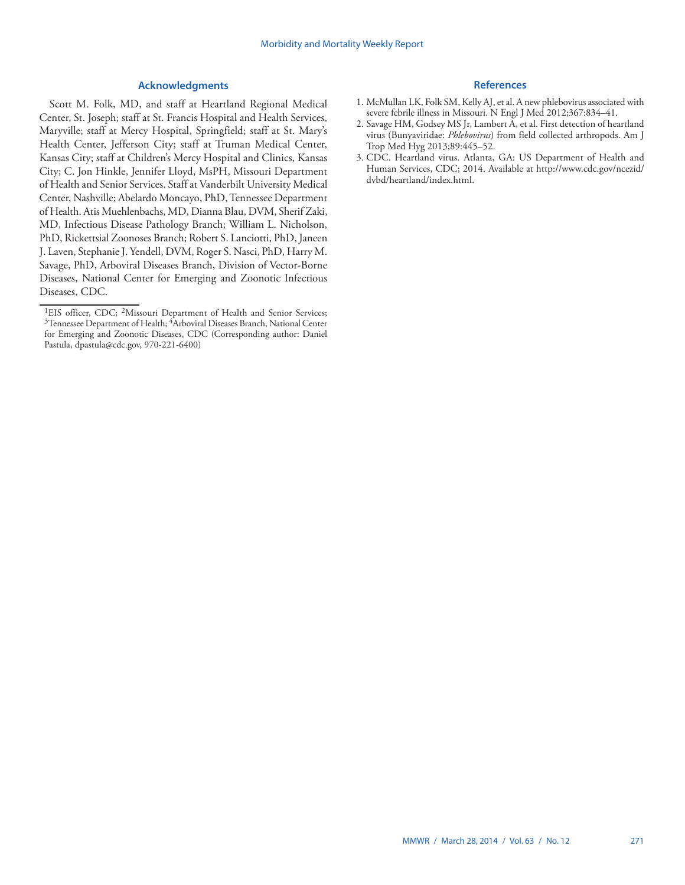#### **Acknowledgments**

Scott M. Folk, MD, and staff at Heartland Regional Medical Center, St. Joseph; staff at St. Francis Hospital and Health Services, Maryville; staff at Mercy Hospital, Springfield; staff at St. Mary's Health Center, Jefferson City; staff at Truman Medical Center, Kansas City; staff at Children's Mercy Hospital and Clinics, Kansas City; C. Jon Hinkle, Jennifer Lloyd, MsPH, Missouri Department of Health and Senior Services. Staff at Vanderbilt University Medical Center, Nashville; Abelardo Moncayo, PhD, Tennessee Department of Health. Atis Muehlenbachs, MD, Dianna Blau, DVM, Sherif Zaki, MD, Infectious Disease Pathology Branch; William L. Nicholson, PhD, Rickettsial Zoonoses Branch; Robert S. Lanciotti, PhD, Janeen J. Laven, Stephanie J. Yendell, DVM, Roger S. Nasci, PhD, Harry M. Savage, PhD, Arboviral Diseases Branch, Division of Vector-Borne Diseases, National Center for Emerging and Zoonotic Infectious Diseases, CDC.

- 1. McMullan LK, Folk SM, Kelly AJ, et al. A new phlebovirus associated with severe febrile illness in Missouri. N Engl J Med 2012;367:834–41.
- 2. Savage HM, Godsey MS Jr, Lambert A, et al. First detection of heartland virus (Bunyaviridae: *Phlebovirus*) from field collected arthropods. Am J Trop Med Hyg 2013;89:445–52.
- 3. CDC. Heartland virus. Atlanta, GA: US Department of Health and Human Services, CDC; 2014. Available at [http://www.cdc.gov/ncezid/](http://www.cdc.gov/ncezid/dvbd/heartland/index.html) [dvbd/heartland/index.html.](http://www.cdc.gov/ncezid/dvbd/heartland/index.html)

<sup>&</sup>lt;sup>1</sup>EIS officer, CDC; <sup>2</sup>Missouri Department of Health and Senior Services; <sup>3</sup>Tennessee Department of Health; <sup>4</sup>Arboviral Diseases Branch, National Center for Emerging and Zoonotic Diseases, CDC (Corresponding author: Daniel Pastula, [dpastula@cdc.gov,](mailto:dpastula@cdc.gov) 970-221-6400)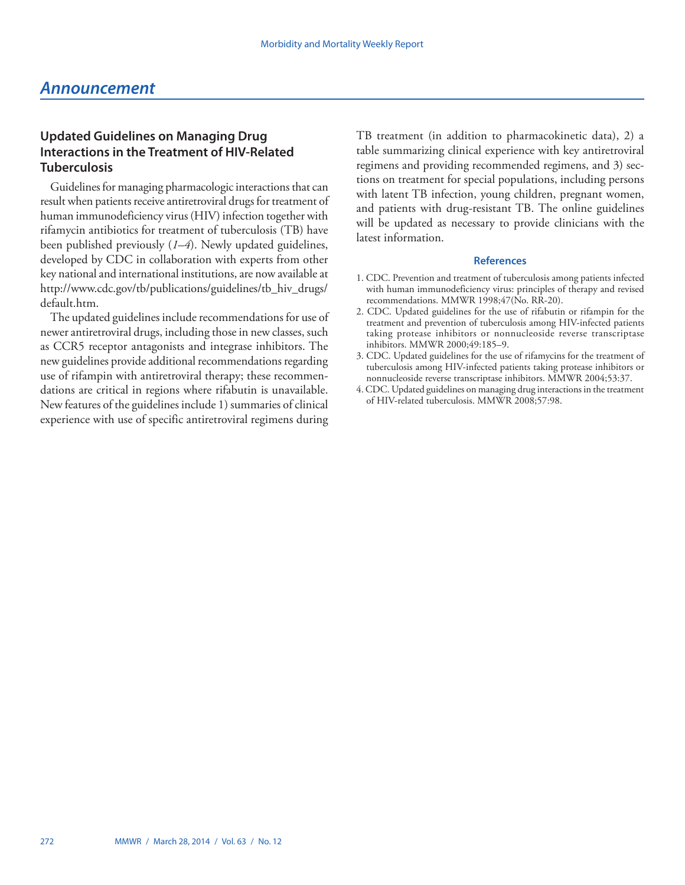## <span id="page-19-0"></span>*Announcement*

## **Updated Guidelines on Managing Drug Interactions in the Treatment of HIV-Related Tuberculosis**

Guidelines for managing pharmacologic interactions that can result when patients receive antiretroviral drugs for treatment of human immunodeficiency virus (HIV) infection together with rifamycin antibiotics for treatment of tuberculosis (TB) have been published previously (*1–4*). Newly updated guidelines, developed by CDC in collaboration with experts from other key national and international institutions, are now available at [http://www.cdc.gov/tb/publications/guidelines/tb\\_hiv\\_drugs/](http://www.cdc.gov/tb/publications/guidelines/tb_hiv_drugs/default.htm) [default.htm.](http://www.cdc.gov/tb/publications/guidelines/tb_hiv_drugs/default.htm)

The updated guidelines include recommendations for use of newer antiretroviral drugs, including those in new classes, such as CCR5 receptor antagonists and integrase inhibitors. The new guidelines provide additional recommendations regarding use of rifampin with antiretroviral therapy; these recommendations are critical in regions where rifabutin is unavailable. New features of the guidelines include 1) summaries of clinical experience with use of specific antiretroviral regimens during

TB treatment (in addition to pharmacokinetic data), 2) a table summarizing clinical experience with key antiretroviral regimens and providing recommended regimens, and 3) sections on treatment for special populations, including persons with latent TB infection, young children, pregnant women, and patients with drug-resistant TB. The online guidelines will be updated as necessary to provide clinicians with the latest information.

- 1. CDC. Prevention and treatment of tuberculosis among patients infected with human immunodeficiency virus: principles of therapy and revised recommendations. MMWR 1998;47(No. RR-20).
- 2. CDC. Updated guidelines for the use of rifabutin or rifampin for the treatment and prevention of tuberculosis among HIV-infected patients taking protease inhibitors or nonnucleoside reverse transcriptase inhibitors. MMWR 2000;49:185–9.
- 3. CDC. Updated guidelines for the use of rifamycins for the treatment of tuberculosis among HIV-infected patients taking protease inhibitors or nonnucleoside reverse transcriptase inhibitors. MMWR 2004;53:37.
- 4. CDC. Updated guidelines on managing drug interactions in the treatment of HIV-related tuberculosis. MMWR 2008;57:98.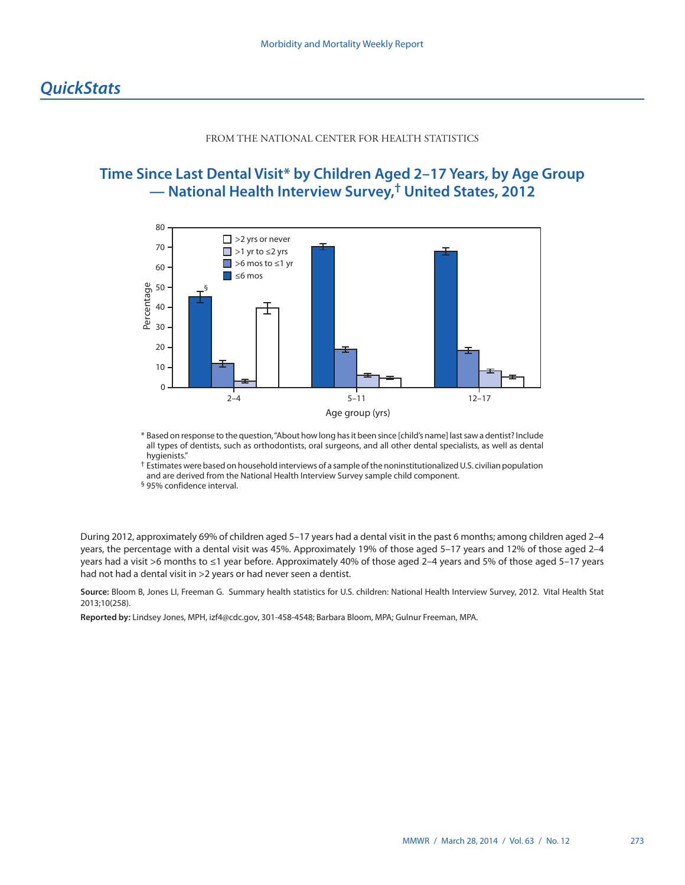#### FROM THE NATIONAL CENTER FOR HEALTH STATISTICS

## <span id="page-20-0"></span>**Time Since Last Dental Visit\* by Children Aged 2–17 Years, by Age Group — National Health Interview Survey,† United States, 2012**



\* Based on response to the question, "About how long has it been since [child's name] last saw a dentist? Include all types of dentists, such as orthodontists, oral surgeons, and all other dental specialists, as well as dental hygienists."

† Estimates were based on household interviews of a sample of the noninstitutionalized U.S. civilian population and are derived from the National Health Interview Survey sample child component.

§ 95% confidence interval.

During 2012, approximately 69% of children aged 5–17 years had a dental visit in the past 6 months; among children aged 2–4 years, the percentage with a dental visit was 45%. Approximately 19% of those aged 5–17 years and 12% of those aged 2–4 years had a visit >6 months to ≤1 year before. Approximately 40% of those aged 2–4 years and 5% of those aged 5–17 years had not had a dental visit in >2 years or had never seen a dentist.

**Source:** Bloom B, Jones LI, Freeman G. Summary health statistics for U.S. children: National Health Interview Survey, 2012. Vital Health Stat 2013;10(258).

**Reported by:** Lindsey Jones, MPH, [izf4@cdc.gov](mailto:izf4@cdc.gov), 301-458-4548; Barbara Bloom, MPA; Gulnur Freeman, MPA.